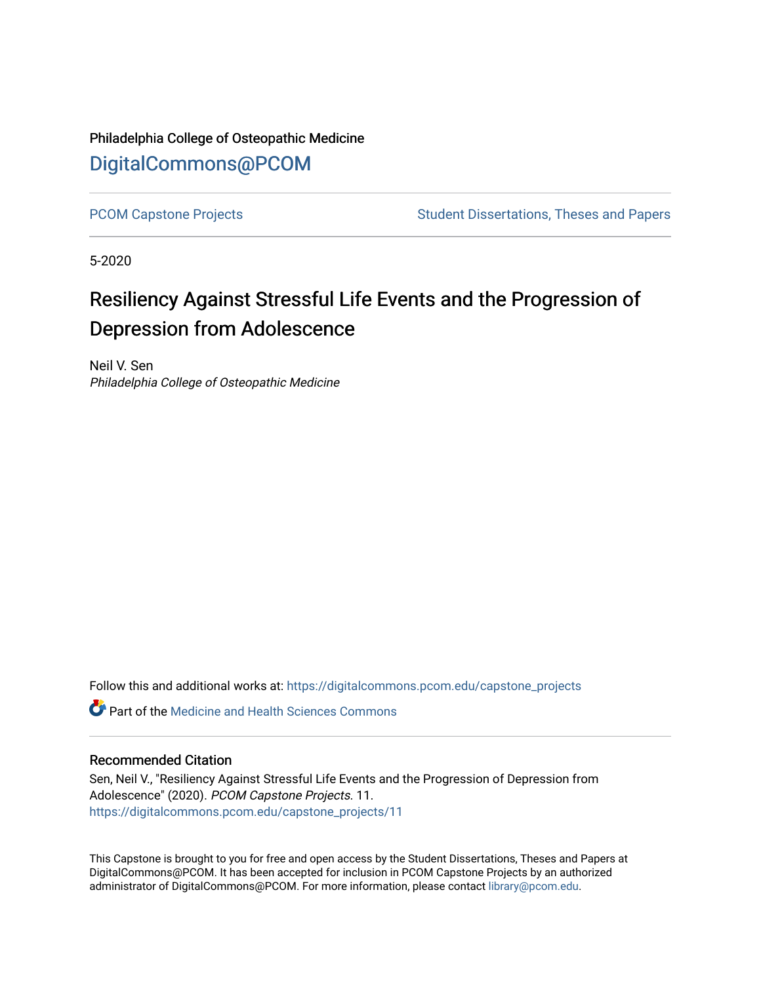# Philadelphia College of Osteopathic Medicine [DigitalCommons@PCOM](https://digitalcommons.pcom.edu/)

[PCOM Capstone Projects](https://digitalcommons.pcom.edu/capstone_projects) **Student Dissertations, Theses and Papers** Student Dissertations, Theses and Papers

5-2020

# Resiliency Against Stressful Life Events and the Progression of Depression from Adolescence

Neil V. Sen Philadelphia College of Osteopathic Medicine

Follow this and additional works at: [https://digitalcommons.pcom.edu/capstone\\_projects](https://digitalcommons.pcom.edu/capstone_projects?utm_source=digitalcommons.pcom.edu%2Fcapstone_projects%2F11&utm_medium=PDF&utm_campaign=PDFCoverPages)

 $\bullet$  Part of the Medicine and Health Sciences Commons

### Recommended Citation

Sen, Neil V., "Resiliency Against Stressful Life Events and the Progression of Depression from Adolescence" (2020). PCOM Capstone Projects. 11. [https://digitalcommons.pcom.edu/capstone\\_projects/11](https://digitalcommons.pcom.edu/capstone_projects/11?utm_source=digitalcommons.pcom.edu%2Fcapstone_projects%2F11&utm_medium=PDF&utm_campaign=PDFCoverPages) 

This Capstone is brought to you for free and open access by the Student Dissertations, Theses and Papers at DigitalCommons@PCOM. It has been accepted for inclusion in PCOM Capstone Projects by an authorized administrator of DigitalCommons@PCOM. For more information, please contact [library@pcom.edu.](mailto:library@pcom.edu)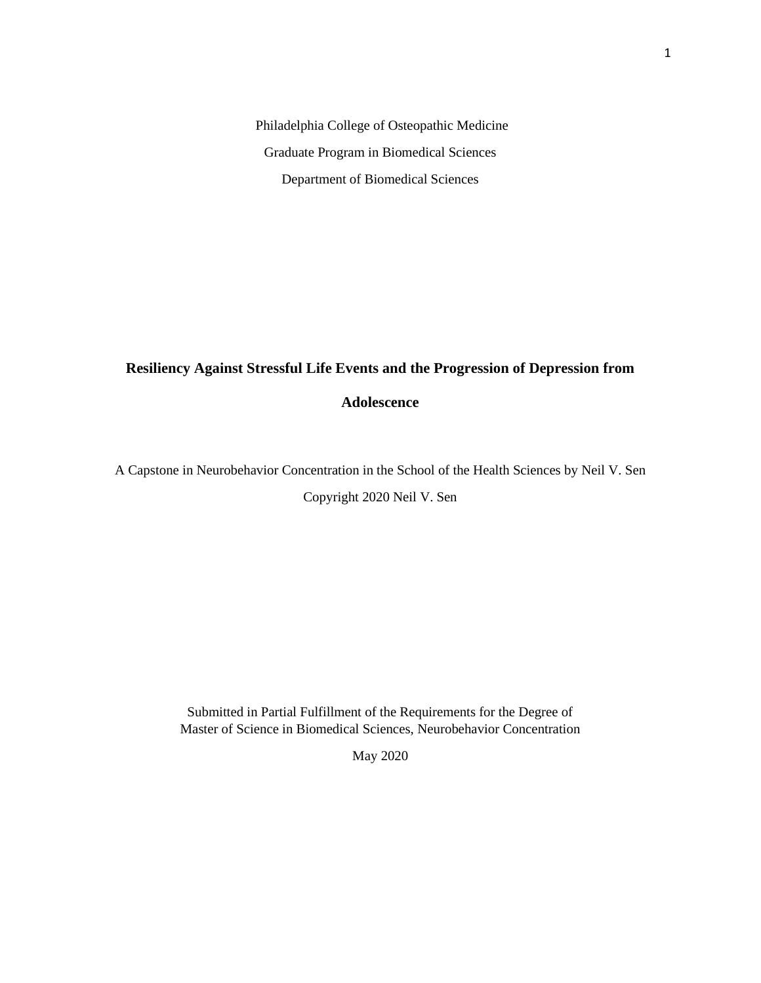Philadelphia College of Osteopathic Medicine Graduate Program in Biomedical Sciences Department of Biomedical Sciences

# **Resiliency Against Stressful Life Events and the Progression of Depression from**

### **Adolescence**

A Capstone in Neurobehavior Concentration in the School of the Health Sciences by Neil V. Sen

Copyright 2020 Neil V. Sen

Submitted in Partial Fulfillment of the Requirements for the Degree of Master of Science in Biomedical Sciences, Neurobehavior Concentration

May 2020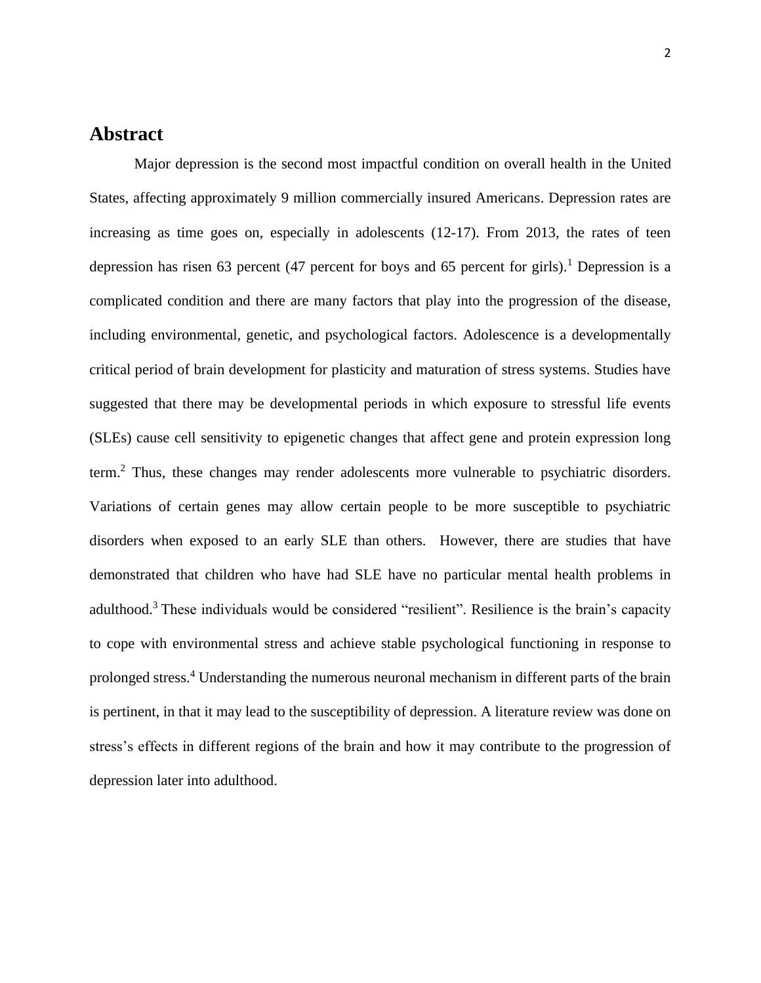### **Abstract**

Major depression is the second most impactful condition on overall health in the United States, affecting approximately 9 million commercially insured Americans. Depression rates are increasing as time goes on, especially in adolescents (12-17). From 2013, the rates of teen depression has risen 63 percent (47 percent for boys and 65 percent for girls).<sup>1</sup> Depression is a complicated condition and there are many factors that play into the progression of the disease, including environmental, genetic, and psychological factors. Adolescence is a developmentally critical period of brain development for plasticity and maturation of stress systems. Studies have suggested that there may be developmental periods in which exposure to stressful life events (SLEs) cause cell sensitivity to epigenetic changes that affect gene and protein expression long term.<sup>2</sup> Thus, these changes may render adolescents more vulnerable to psychiatric disorders. Variations of certain genes may allow certain people to be more susceptible to psychiatric disorders when exposed to an early SLE than others. However, there are studies that have demonstrated that children who have had SLE have no particular mental health problems in adulthood.<sup>3</sup> These individuals would be considered "resilient". Resilience is the brain's capacity to cope with environmental stress and achieve stable psychological functioning in response to prolonged stress. <sup>4</sup> Understanding the numerous neuronal mechanism in different parts of the brain is pertinent, in that it may lead to the susceptibility of depression. A literature review was done on stress's effects in different regions of the brain and how it may contribute to the progression of depression later into adulthood.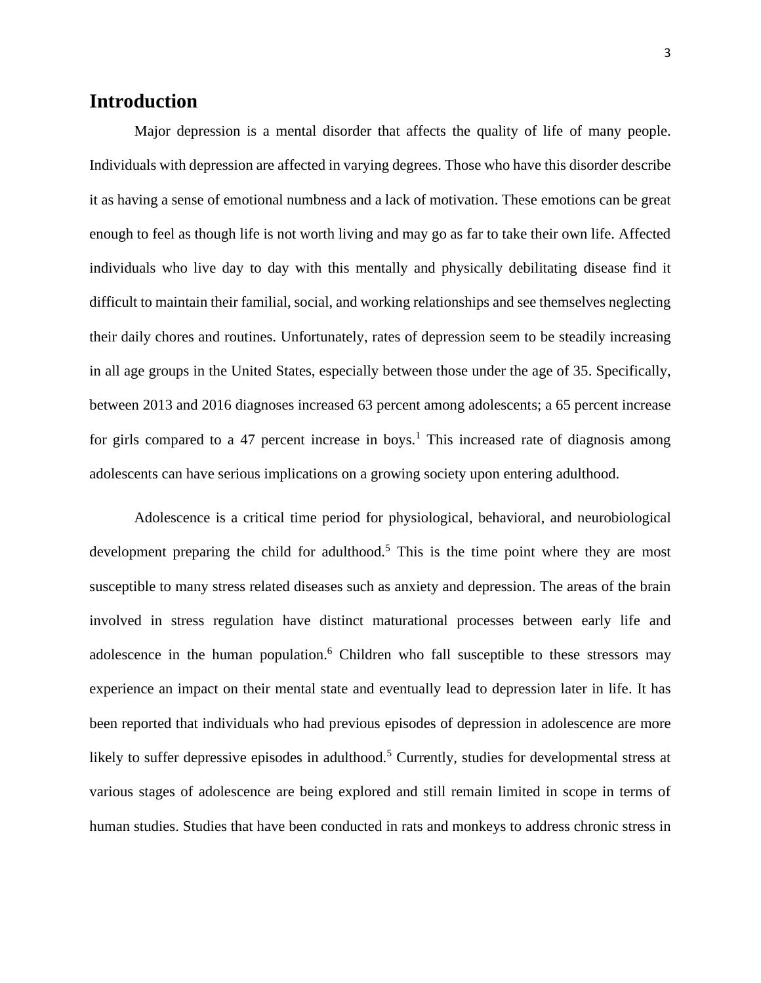## **Introduction**

Major depression is a mental disorder that affects the quality of life of many people. Individuals with depression are affected in varying degrees. Those who have this disorder describe it as having a sense of emotional numbness and a lack of motivation. These emotions can be great enough to feel as though life is not worth living and may go as far to take their own life. Affected individuals who live day to day with this mentally and physically debilitating disease find it difficult to maintain their familial, social, and working relationships and see themselves neglecting their daily chores and routines. Unfortunately, rates of depression seem to be steadily increasing in all age groups in the United States, especially between those under the age of 35. Specifically, between 2013 and 2016 diagnoses increased 63 percent among adolescents; a 65 percent increase for girls compared to a 47 percent increase in boys.<sup>1</sup> This increased rate of diagnosis among adolescents can have serious implications on a growing society upon entering adulthood.

Adolescence is a critical time period for physiological, behavioral, and neurobiological development preparing the child for adulthood.<sup>5</sup> This is the time point where they are most susceptible to many stress related diseases such as anxiety and depression. The areas of the brain involved in stress regulation have distinct maturational processes between early life and adolescence in the human population. <sup>6</sup> Children who fall susceptible to these stressors may experience an impact on their mental state and eventually lead to depression later in life. It has been reported that individuals who had previous episodes of depression in adolescence are more likely to suffer depressive episodes in adulthood.<sup>5</sup> Currently, studies for developmental stress at various stages of adolescence are being explored and still remain limited in scope in terms of human studies. Studies that have been conducted in rats and monkeys to address chronic stress in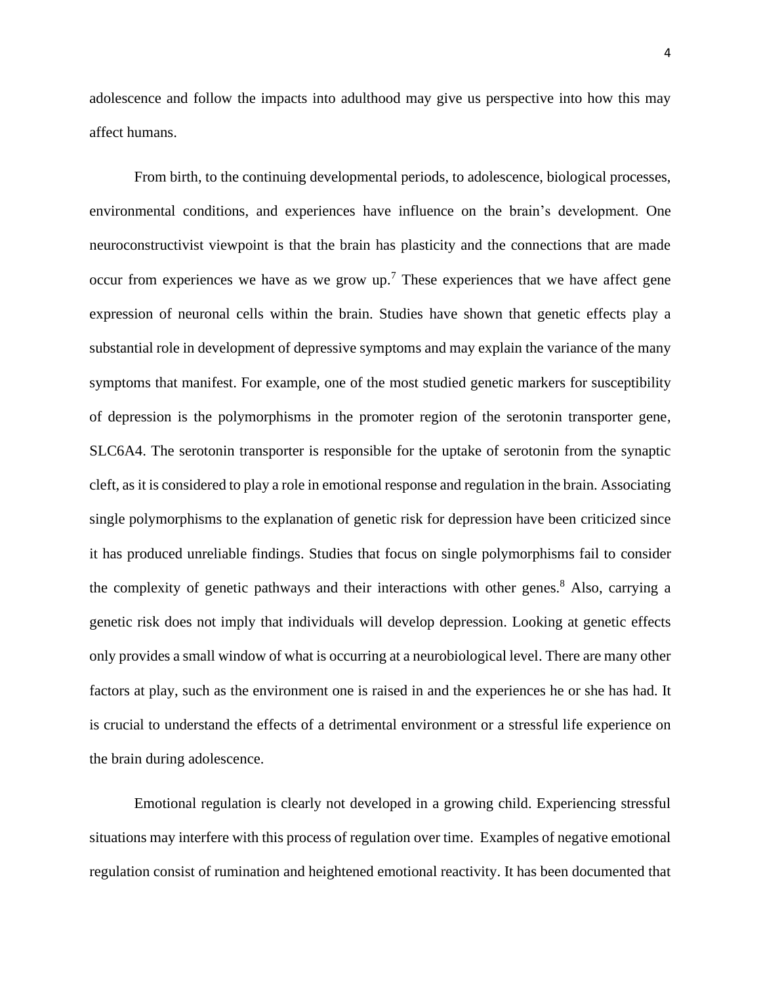adolescence and follow the impacts into adulthood may give us perspective into how this may affect humans.

From birth, to the continuing developmental periods, to adolescence, biological processes, environmental conditions, and experiences have influence on the brain's development. One neuroconstructivist viewpoint is that the brain has plasticity and the connections that are made occur from experiences we have as we grow  $up$ .<sup>7</sup> These experiences that we have affect gene expression of neuronal cells within the brain. Studies have shown that genetic effects play a substantial role in development of depressive symptoms and may explain the variance of the many symptoms that manifest. For example, one of the most studied genetic markers for susceptibility of depression is the polymorphisms in the promoter region of the serotonin transporter gene, SLC6A4. The serotonin transporter is responsible for the uptake of serotonin from the synaptic cleft, as it is considered to play a role in emotional response and regulation in the brain. Associating single polymorphisms to the explanation of genetic risk for depression have been criticized since it has produced unreliable findings. Studies that focus on single polymorphisms fail to consider the complexity of genetic pathways and their interactions with other genes.<sup>8</sup> Also, carrying a genetic risk does not imply that individuals will develop depression. Looking at genetic effects only provides a small window of what is occurring at a neurobiological level. There are many other factors at play, such as the environment one is raised in and the experiences he or she has had. It is crucial to understand the effects of a detrimental environment or a stressful life experience on the brain during adolescence.

Emotional regulation is clearly not developed in a growing child. Experiencing stressful situations may interfere with this process of regulation over time. Examples of negative emotional regulation consist of rumination and heightened emotional reactivity. It has been documented that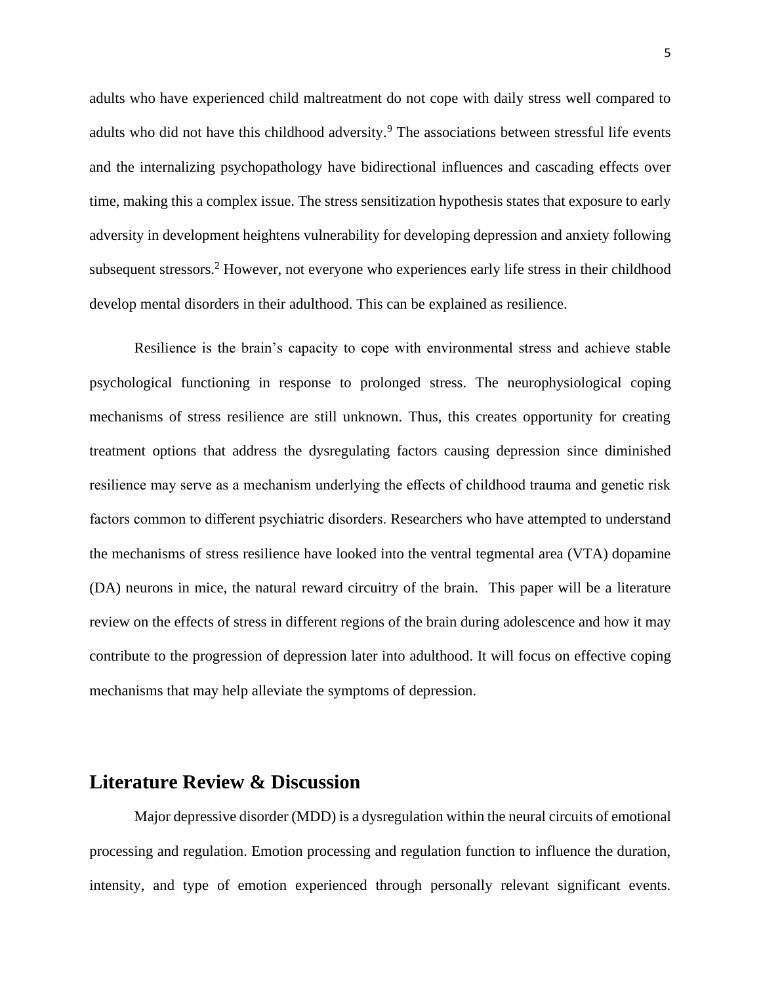adults who have experienced child maltreatment do not cope with daily stress well compared to adults who did not have this childhood adversity.<sup>9</sup> The associations between stressful life events and the internalizing psychopathology have bidirectional influences and cascading effects over time, making this a complex issue. The stress sensitization hypothesis states that exposure to early adversity in development heightens vulnerability for developing depression and anxiety following subsequent stressors.<sup>2</sup> However, not everyone who experiences early life stress in their childhood develop mental disorders in their adulthood. This can be explained as resilience.

Resilience is the brain's capacity to cope with environmental stress and achieve stable psychological functioning in response to prolonged stress. The neurophysiological coping mechanisms of stress resilience are still unknown. Thus, this creates opportunity for creating treatment options that address the dysregulating factors causing depression since diminished resilience may serve as a mechanism underlying the effects of childhood trauma and genetic risk factors common to different psychiatric disorders. Researchers who have attempted to understand the mechanisms of stress resilience have looked into the ventral tegmental area (VTA) dopamine (DA) neurons in mice, the natural reward circuitry of the brain. This paper will be a literature review on the effects of stress in different regions of the brain during adolescence and how it may contribute to the progression of depression later into adulthood. It will focus on effective coping mechanisms that may help alleviate the symptoms of depression.

### **Literature Review & Discussion**

Major depressive disorder (MDD) is a dysregulation within the neural circuits of emotional processing and regulation. Emotion processing and regulation function to influence the duration, intensity, and type of emotion experienced through personally relevant significant events.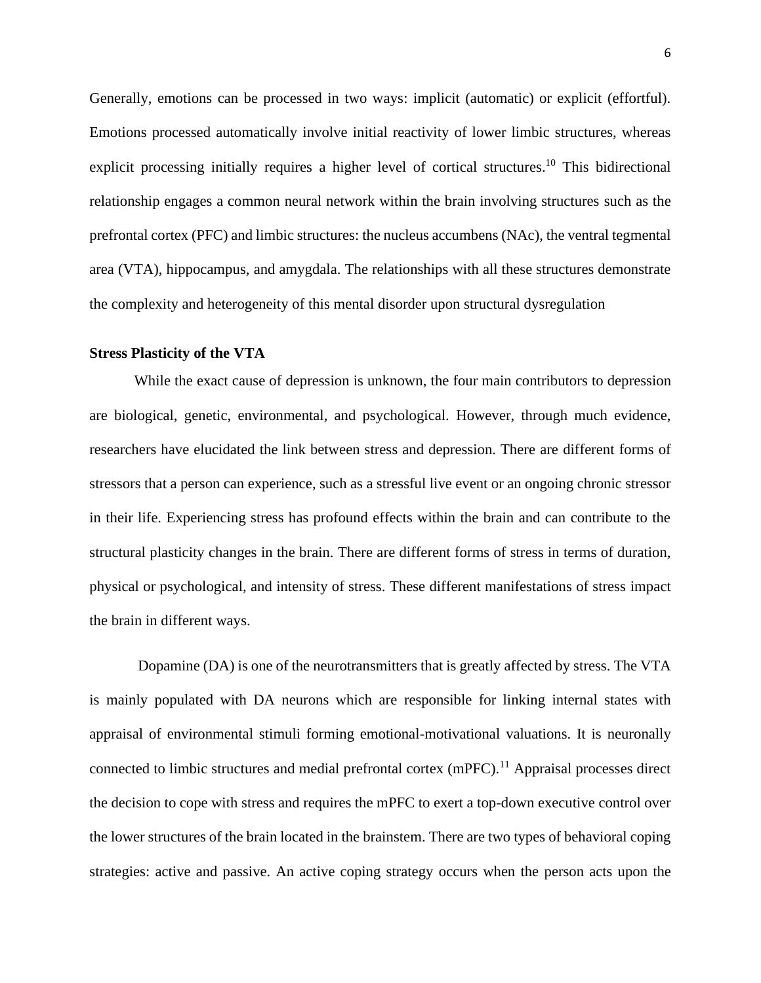Generally, emotions can be processed in two ways: implicit (automatic) or explicit (effortful). Emotions processed automatically involve initial reactivity of lower limbic structures, whereas explicit processing initially requires a higher level of cortical structures.<sup>10</sup> This bidirectional relationship engages a common neural network within the brain involving structures such as the prefrontal cortex (PFC) and limbic structures: the nucleus accumbens (NAc), the ventral tegmental area (VTA), hippocampus, and amygdala. The relationships with all these structures demonstrate the complexity and heterogeneity of this mental disorder upon structural dysregulation

#### **Stress Plasticity of the VTA**

While the exact cause of depression is unknown, the four main contributors to depression are biological, genetic, environmental, and psychological. However, through much evidence, researchers have elucidated the link between stress and depression. There are different forms of stressors that a person can experience, such as a stressful live event or an ongoing chronic stressor in their life. Experiencing stress has profound effects within the brain and can contribute to the structural plasticity changes in the brain. There are different forms of stress in terms of duration, physical or psychological, and intensity of stress. These different manifestations of stress impact the brain in different ways.

Dopamine (DA) is one of the neurotransmitters that is greatly affected by stress. The VTA is mainly populated with DA neurons which are responsible for linking internal states with appraisal of environmental stimuli forming emotional-motivational valuations. It is neuronally connected to limbic structures and medial prefrontal cortex (mPFC).<sup>11</sup> Appraisal processes direct the decision to cope with stress and requires the mPFC to exert a top-down executive control over the lower structures of the brain located in the brainstem. There are two types of behavioral coping strategies: active and passive. An active coping strategy occurs when the person acts upon the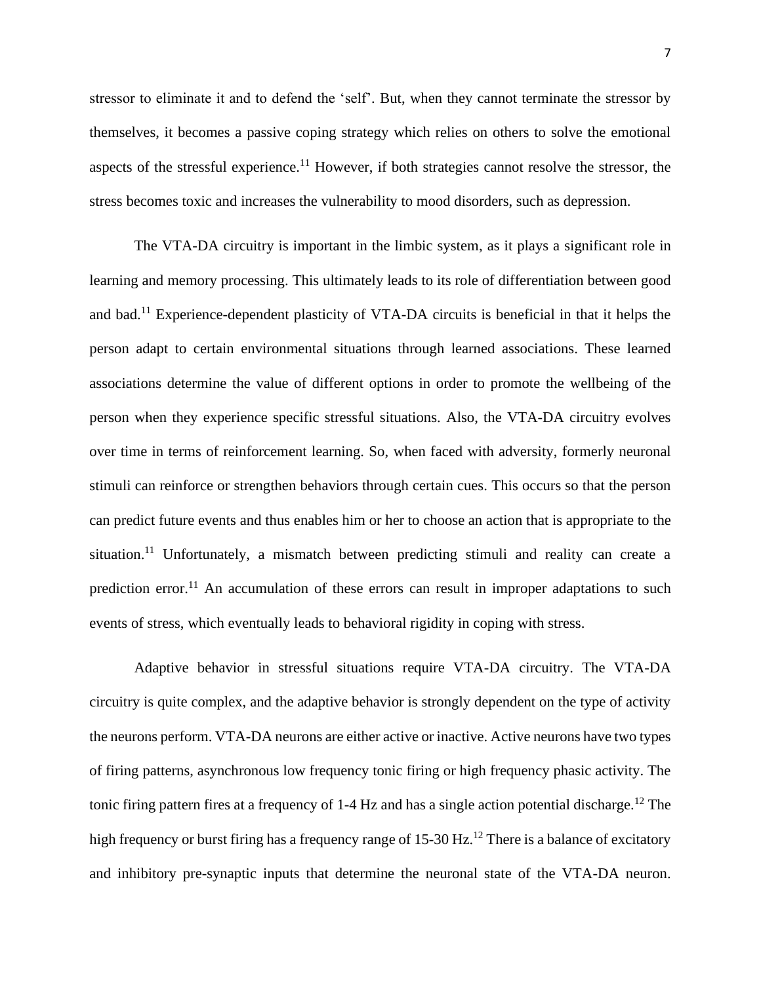stressor to eliminate it and to defend the 'self'. But, when they cannot terminate the stressor by themselves, it becomes a passive coping strategy which relies on others to solve the emotional aspects of the stressful experience.<sup>11</sup> However, if both strategies cannot resolve the stressor, the stress becomes toxic and increases the vulnerability to mood disorders, such as depression.

The VTA-DA circuitry is important in the limbic system, as it plays a significant role in learning and memory processing. This ultimately leads to its role of differentiation between good and bad.<sup>11</sup> Experience-dependent plasticity of VTA-DA circuits is beneficial in that it helps the person adapt to certain environmental situations through learned associations. These learned associations determine the value of different options in order to promote the wellbeing of the person when they experience specific stressful situations. Also, the VTA-DA circuitry evolves over time in terms of reinforcement learning. So, when faced with adversity, formerly neuronal stimuli can reinforce or strengthen behaviors through certain cues. This occurs so that the person can predict future events and thus enables him or her to choose an action that is appropriate to the situation.<sup>11</sup> Unfortunately, a mismatch between predicting stimuli and reality can create a prediction error.<sup>11</sup> An accumulation of these errors can result in improper adaptations to such events of stress, which eventually leads to behavioral rigidity in coping with stress.

Adaptive behavior in stressful situations require VTA-DA circuitry. The VTA-DA circuitry is quite complex, and the adaptive behavior is strongly dependent on the type of activity the neurons perform. VTA-DA neurons are either active or inactive. Active neurons have two types of firing patterns, asynchronous low frequency tonic firing or high frequency phasic activity. The tonic firing pattern fires at a frequency of  $1-4$  Hz and has a single action potential discharge.<sup>12</sup> The high frequency or burst firing has a frequency range of  $15{\text -}30 \text{ Hz}$ .<sup>12</sup> There is a balance of excitatory and inhibitory pre-synaptic inputs that determine the neuronal state of the VTA-DA neuron.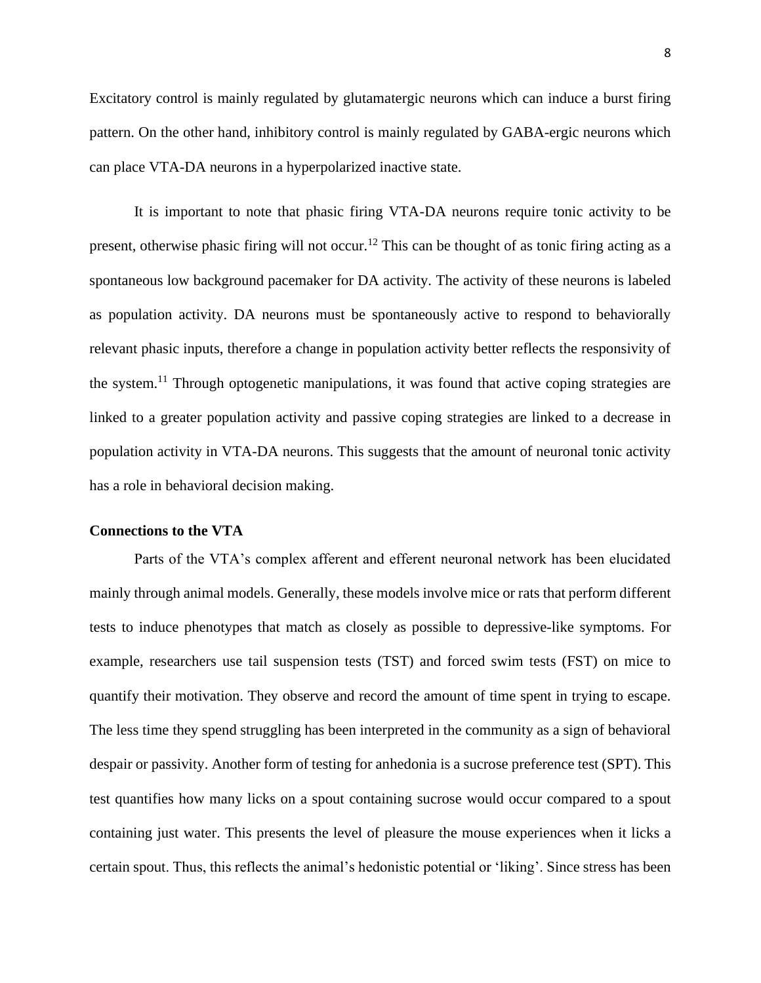Excitatory control is mainly regulated by glutamatergic neurons which can induce a burst firing pattern. On the other hand, inhibitory control is mainly regulated by GABA-ergic neurons which can place VTA-DA neurons in a hyperpolarized inactive state.

It is important to note that phasic firing VTA-DA neurons require tonic activity to be present, otherwise phasic firing will not occur.<sup>12</sup> This can be thought of as tonic firing acting as a spontaneous low background pacemaker for DA activity. The activity of these neurons is labeled as population activity. DA neurons must be spontaneously active to respond to behaviorally relevant phasic inputs, therefore a change in population activity better reflects the responsivity of the system.<sup>11</sup> Through optogenetic manipulations, it was found that active coping strategies are linked to a greater population activity and passive coping strategies are linked to a decrease in population activity in VTA-DA neurons. This suggests that the amount of neuronal tonic activity has a role in behavioral decision making.

#### **Connections to the VTA**

Parts of the VTA's complex afferent and efferent neuronal network has been elucidated mainly through animal models. Generally, these models involve mice or rats that perform different tests to induce phenotypes that match as closely as possible to depressive-like symptoms. For example, researchers use tail suspension tests (TST) and forced swim tests (FST) on mice to quantify their motivation. They observe and record the amount of time spent in trying to escape. The less time they spend struggling has been interpreted in the community as a sign of behavioral despair or passivity. Another form of testing for anhedonia is a sucrose preference test (SPT). This test quantifies how many licks on a spout containing sucrose would occur compared to a spout containing just water. This presents the level of pleasure the mouse experiences when it licks a certain spout. Thus, this reflects the animal's hedonistic potential or 'liking'. Since stress has been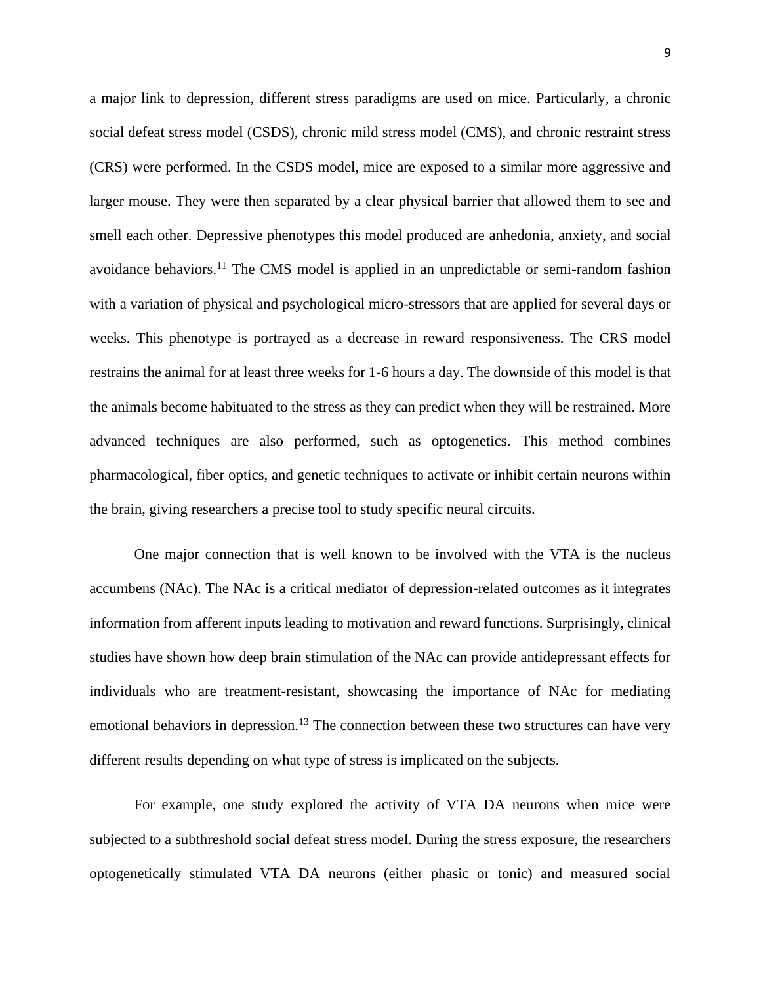a major link to depression, different stress paradigms are used on mice. Particularly, a chronic social defeat stress model (CSDS), chronic mild stress model (CMS), and chronic restraint stress (CRS) were performed. In the CSDS model, mice are exposed to a similar more aggressive and larger mouse. They were then separated by a clear physical barrier that allowed them to see and smell each other. Depressive phenotypes this model produced are anhedonia, anxiety, and social avoidance behaviors.<sup>11</sup> The CMS model is applied in an unpredictable or semi-random fashion with a variation of physical and psychological micro-stressors that are applied for several days or weeks. This phenotype is portrayed as a decrease in reward responsiveness. The CRS model restrains the animal for at least three weeks for 1-6 hours a day. The downside of this model is that the animals become habituated to the stress as they can predict when they will be restrained. More advanced techniques are also performed, such as optogenetics. This method combines pharmacological, fiber optics, and genetic techniques to activate or inhibit certain neurons within the brain, giving researchers a precise tool to study specific neural circuits.

One major connection that is well known to be involved with the VTA is the nucleus accumbens (NAc). The NAc is a critical mediator of depression-related outcomes as it integrates information from afferent inputs leading to motivation and reward functions. Surprisingly, clinical studies have shown how deep brain stimulation of the NAc can provide antidepressant effects for individuals who are treatment-resistant, showcasing the importance of NAc for mediating emotional behaviors in depression.<sup>13</sup> The connection between these two structures can have very different results depending on what type of stress is implicated on the subjects.

For example, one study explored the activity of VTA DA neurons when mice were subjected to a subthreshold social defeat stress model. During the stress exposure, the researchers optogenetically stimulated VTA DA neurons (either phasic or tonic) and measured social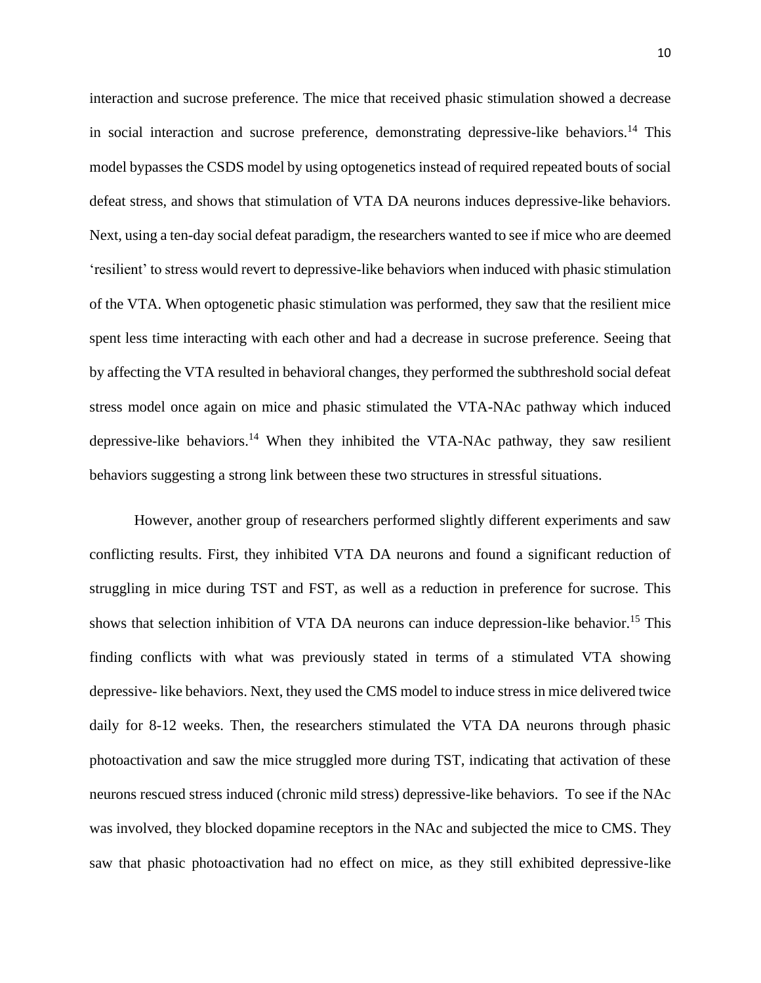interaction and sucrose preference. The mice that received phasic stimulation showed a decrease in social interaction and sucrose preference, demonstrating depressive-like behaviors.<sup>14</sup> This model bypasses the CSDS model by using optogenetics instead of required repeated bouts of social defeat stress, and shows that stimulation of VTA DA neurons induces depressive-like behaviors. Next, using a ten-day social defeat paradigm, the researchers wanted to see if mice who are deemed 'resilient' to stress would revert to depressive-like behaviors when induced with phasic stimulation of the VTA. When optogenetic phasic stimulation was performed, they saw that the resilient mice spent less time interacting with each other and had a decrease in sucrose preference. Seeing that by affecting the VTA resulted in behavioral changes, they performed the subthreshold social defeat stress model once again on mice and phasic stimulated the VTA-NAc pathway which induced depressive-like behaviors.<sup>14</sup> When they inhibited the VTA-NAc pathway, they saw resilient behaviors suggesting a strong link between these two structures in stressful situations.

However, another group of researchers performed slightly different experiments and saw conflicting results. First, they inhibited VTA DA neurons and found a significant reduction of struggling in mice during TST and FST, as well as a reduction in preference for sucrose. This shows that selection inhibition of VTA DA neurons can induce depression-like behavior.<sup>15</sup> This finding conflicts with what was previously stated in terms of a stimulated VTA showing depressive- like behaviors. Next, they used the CMS model to induce stress in mice delivered twice daily for 8-12 weeks. Then, the researchers stimulated the VTA DA neurons through phasic photoactivation and saw the mice struggled more during TST, indicating that activation of these neurons rescued stress induced (chronic mild stress) depressive-like behaviors. To see if the NAc was involved, they blocked dopamine receptors in the NAc and subjected the mice to CMS. They saw that phasic photoactivation had no effect on mice, as they still exhibited depressive-like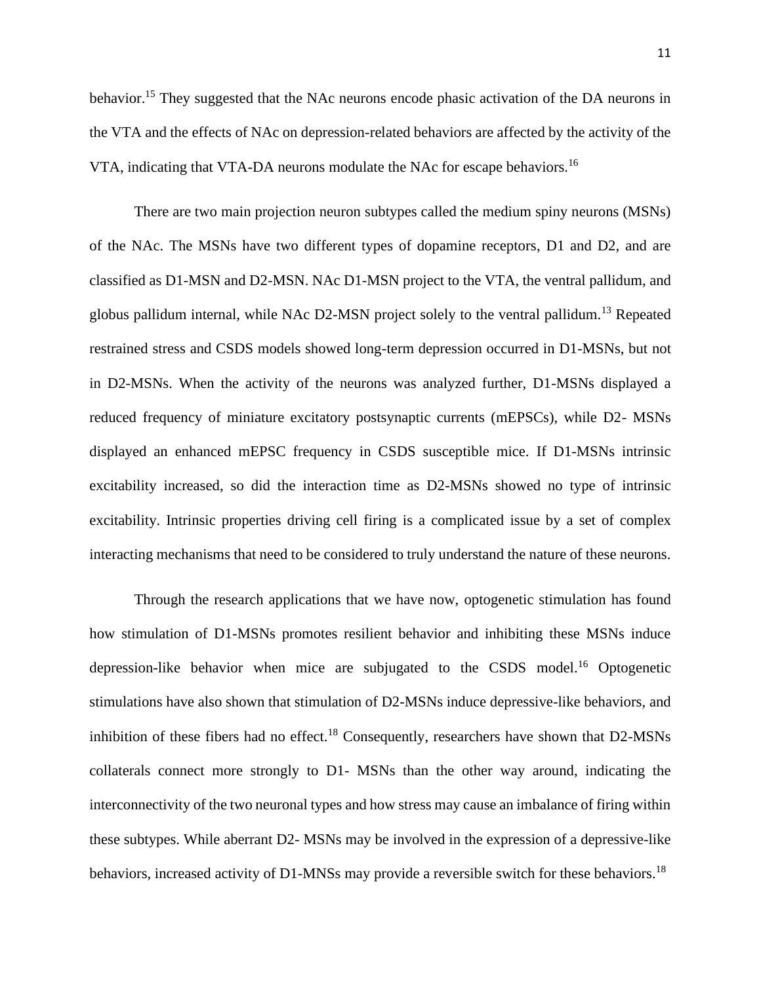behavior.<sup>15</sup> They suggested that the NAc neurons encode phasic activation of the DA neurons in the VTA and the effects of NAc on depression-related behaviors are affected by the activity of the VTA, indicating that VTA-DA neurons modulate the NAc for escape behaviors.<sup>16</sup>

There are two main projection neuron subtypes called the medium spiny neurons (MSNs) of the NAc. The MSNs have two different types of dopamine receptors, D1 and D2, and are classified as D1-MSN and D2-MSN. NAc D1-MSN project to the VTA, the ventral pallidum, and globus pallidum internal, while NAc D2-MSN project solely to the ventral pallidum.<sup>13</sup> Repeated restrained stress and CSDS models showed long-term depression occurred in D1-MSNs, but not in D2-MSNs. When the activity of the neurons was analyzed further, D1-MSNs displayed a reduced frequency of miniature excitatory postsynaptic currents (mEPSCs), while D2- MSNs displayed an enhanced mEPSC frequency in CSDS susceptible mice. If D1-MSNs intrinsic excitability increased, so did the interaction time as D2-MSNs showed no type of intrinsic excitability. Intrinsic properties driving cell firing is a complicated issue by a set of complex interacting mechanisms that need to be considered to truly understand the nature of these neurons.

Through the research applications that we have now, optogenetic stimulation has found how stimulation of D1-MSNs promotes resilient behavior and inhibiting these MSNs induce depression-like behavior when mice are subjugated to the CSDS model.<sup>16</sup> Optogenetic stimulations have also shown that stimulation of D2-MSNs induce depressive-like behaviors, and inhibition of these fibers had no effect.<sup>18</sup> Consequently, researchers have shown that  $D2\text{-MSNs}$ collaterals connect more strongly to D1- MSNs than the other way around, indicating the interconnectivity of the two neuronal types and how stress may cause an imbalance of firing within these subtypes. While aberrant D2- MSNs may be involved in the expression of a depressive-like behaviors, increased activity of D1-MNSs may provide a reversible switch for these behaviors.<sup>18</sup>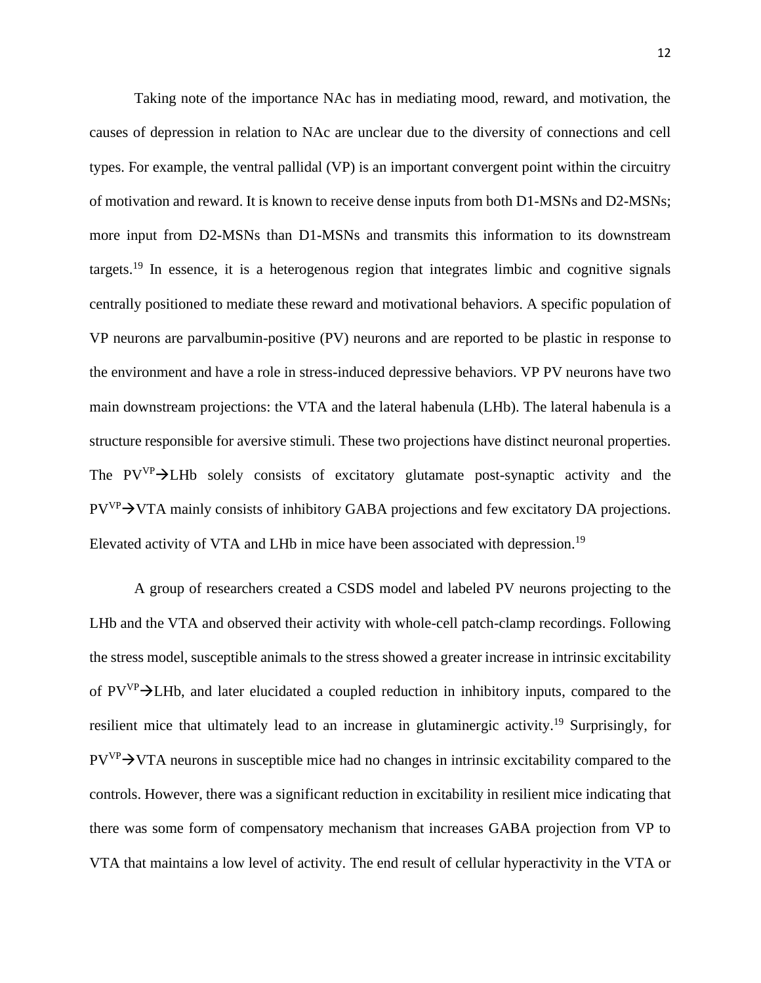Taking note of the importance NAc has in mediating mood, reward, and motivation, the causes of depression in relation to NAc are unclear due to the diversity of connections and cell types. For example, the ventral pallidal (VP) is an important convergent point within the circuitry of motivation and reward. It is known to receive dense inputs from both D1-MSNs and D2-MSNs; more input from D2-MSNs than D1-MSNs and transmits this information to its downstream targets.<sup>19</sup> In essence, it is a heterogenous region that integrates limbic and cognitive signals centrally positioned to mediate these reward and motivational behaviors. A specific population of VP neurons are parvalbumin-positive (PV) neurons and are reported to be plastic in response to the environment and have a role in stress-induced depressive behaviors. VP PV neurons have two main downstream projections: the VTA and the lateral habenula (LHb). The lateral habenula is a structure responsible for aversive stimuli. These two projections have distinct neuronal properties. The PVVP→LHb solely consists of excitatory glutamate post-synaptic activity and the PV<sup>VP</sup>→VTA mainly consists of inhibitory GABA projections and few excitatory DA projections. Elevated activity of VTA and LHb in mice have been associated with depression.<sup>19</sup>

A group of researchers created a CSDS model and labeled PV neurons projecting to the LHb and the VTA and observed their activity with whole-cell patch-clamp recordings. Following the stress model, susceptible animals to the stress showed a greater increase in intrinsic excitability of  $PV^{\gamma}$   $\rightarrow$  LHb, and later elucidated a coupled reduction in inhibitory inputs, compared to the resilient mice that ultimately lead to an increase in glutaminergic activity.<sup>19</sup> Surprisingly, for  $PV^{\text{VP}}$   $\rightarrow$  VTA neurons in susceptible mice had no changes in intrinsic excitability compared to the controls. However, there was a significant reduction in excitability in resilient mice indicating that there was some form of compensatory mechanism that increases GABA projection from VP to VTA that maintains a low level of activity. The end result of cellular hyperactivity in the VTA or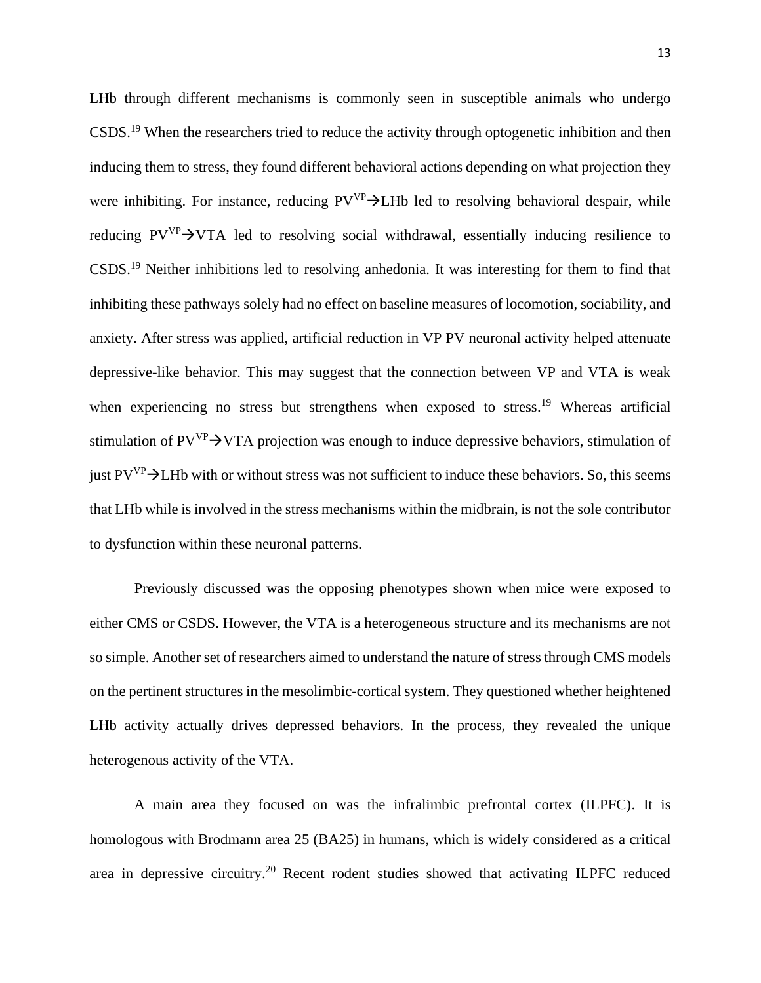LHb through different mechanisms is commonly seen in susceptible animals who undergo CSDS.<sup>19</sup> When the researchers tried to reduce the activity through optogenetic inhibition and then inducing them to stress, they found different behavioral actions depending on what projection they were inhibiting. For instance, reducing  $PV^{VP}$  > LHb led to resolving behavioral despair, while reducing  $PV^{\gamma}$   $\rightarrow$  VTA led to resolving social withdrawal, essentially inducing resilience to CSDS.<sup>19</sup> Neither inhibitions led to resolving anhedonia. It was interesting for them to find that inhibiting these pathways solely had no effect on baseline measures of locomotion, sociability, and anxiety. After stress was applied, artificial reduction in VP PV neuronal activity helped attenuate depressive-like behavior. This may suggest that the connection between VP and VTA is weak when experiencing no stress but strengthens when exposed to stress.<sup>19</sup> Whereas artificial stimulation of  $PV^{\text{VP}}$   $\rightarrow$  VTA projection was enough to induce depressive behaviors, stimulation of just  $PV^{\text{VP}}\rightarrow$ LHb with or without stress was not sufficient to induce these behaviors. So, this seems that LHb while is involved in the stress mechanisms within the midbrain, is not the sole contributor to dysfunction within these neuronal patterns.

Previously discussed was the opposing phenotypes shown when mice were exposed to either CMS or CSDS. However, the VTA is a heterogeneous structure and its mechanisms are not so simple. Another set of researchers aimed to understand the nature of stress through CMS models on the pertinent structures in the mesolimbic-cortical system. They questioned whether heightened LHb activity actually drives depressed behaviors. In the process, they revealed the unique heterogenous activity of the VTA.

A main area they focused on was the infralimbic prefrontal cortex (ILPFC). It is homologous with Brodmann area 25 (BA25) in humans, which is widely considered as a critical area in depressive circuitry.<sup>20</sup> Recent rodent studies showed that activating ILPFC reduced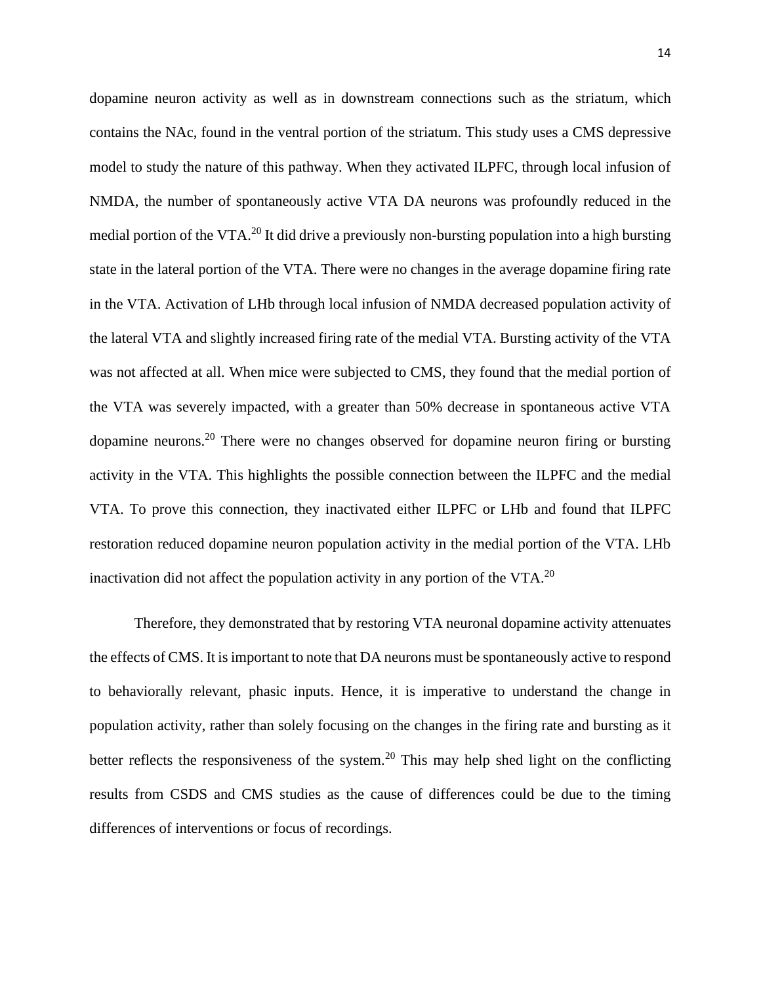dopamine neuron activity as well as in downstream connections such as the striatum, which contains the NAc, found in the ventral portion of the striatum. This study uses a CMS depressive model to study the nature of this pathway. When they activated ILPFC, through local infusion of NMDA, the number of spontaneously active VTA DA neurons was profoundly reduced in the medial portion of the VTA.<sup>20</sup> It did drive a previously non-bursting population into a high bursting state in the lateral portion of the VTA. There were no changes in the average dopamine firing rate in the VTA. Activation of LHb through local infusion of NMDA decreased population activity of the lateral VTA and slightly increased firing rate of the medial VTA. Bursting activity of the VTA was not affected at all. When mice were subjected to CMS, they found that the medial portion of the VTA was severely impacted, with a greater than 50% decrease in spontaneous active VTA dopamine neurons.<sup>20</sup> There were no changes observed for dopamine neuron firing or bursting activity in the VTA. This highlights the possible connection between the ILPFC and the medial VTA. To prove this connection, they inactivated either ILPFC or LHb and found that ILPFC restoration reduced dopamine neuron population activity in the medial portion of the VTA. LHb inactivation did not affect the population activity in any portion of the VTA.<sup>20</sup>

Therefore, they demonstrated that by restoring VTA neuronal dopamine activity attenuates the effects of CMS. It is important to note that DA neurons must be spontaneously active to respond to behaviorally relevant, phasic inputs. Hence, it is imperative to understand the change in population activity, rather than solely focusing on the changes in the firing rate and bursting as it better reflects the responsiveness of the system.<sup>20</sup> This may help shed light on the conflicting results from CSDS and CMS studies as the cause of differences could be due to the timing differences of interventions or focus of recordings.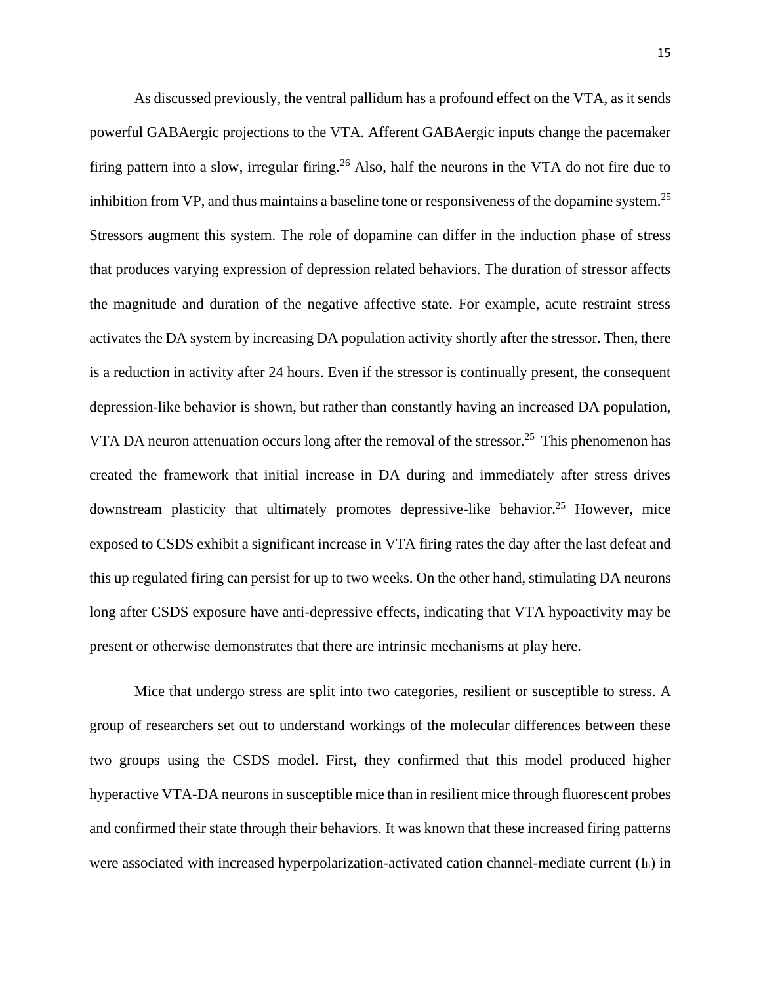As discussed previously, the ventral pallidum has a profound effect on the VTA, as it sends powerful GABAergic projections to the VTA. Afferent GABAergic inputs change the pacemaker firing pattern into a slow, irregular firing.<sup>26</sup> Also, half the neurons in the VTA do not fire due to inhibition from VP, and thus maintains a baseline tone or responsiveness of the dopamine system.<sup>25</sup> Stressors augment this system. The role of dopamine can differ in the induction phase of stress that produces varying expression of depression related behaviors. The duration of stressor affects the magnitude and duration of the negative affective state. For example, acute restraint stress activates the DA system by increasing DA population activity shortly after the stressor. Then, there is a reduction in activity after 24 hours. Even if the stressor is continually present, the consequent depression-like behavior is shown, but rather than constantly having an increased DA population, VTA DA neuron attenuation occurs long after the removal of the stressor.<sup>25</sup> This phenomenon has created the framework that initial increase in DA during and immediately after stress drives downstream plasticity that ultimately promotes depressive-like behavior.<sup>25</sup> However, mice exposed to CSDS exhibit a significant increase in VTA firing rates the day after the last defeat and this up regulated firing can persist for up to two weeks. On the other hand, stimulating DA neurons long after CSDS exposure have anti-depressive effects, indicating that VTA hypoactivity may be present or otherwise demonstrates that there are intrinsic mechanisms at play here.

Mice that undergo stress are split into two categories, resilient or susceptible to stress. A group of researchers set out to understand workings of the molecular differences between these two groups using the CSDS model. First, they confirmed that this model produced higher hyperactive VTA-DA neurons in susceptible mice than in resilient mice through fluorescent probes and confirmed their state through their behaviors. It was known that these increased firing patterns were associated with increased hyperpolarization-activated cation channel-mediate current  $(I_h)$  in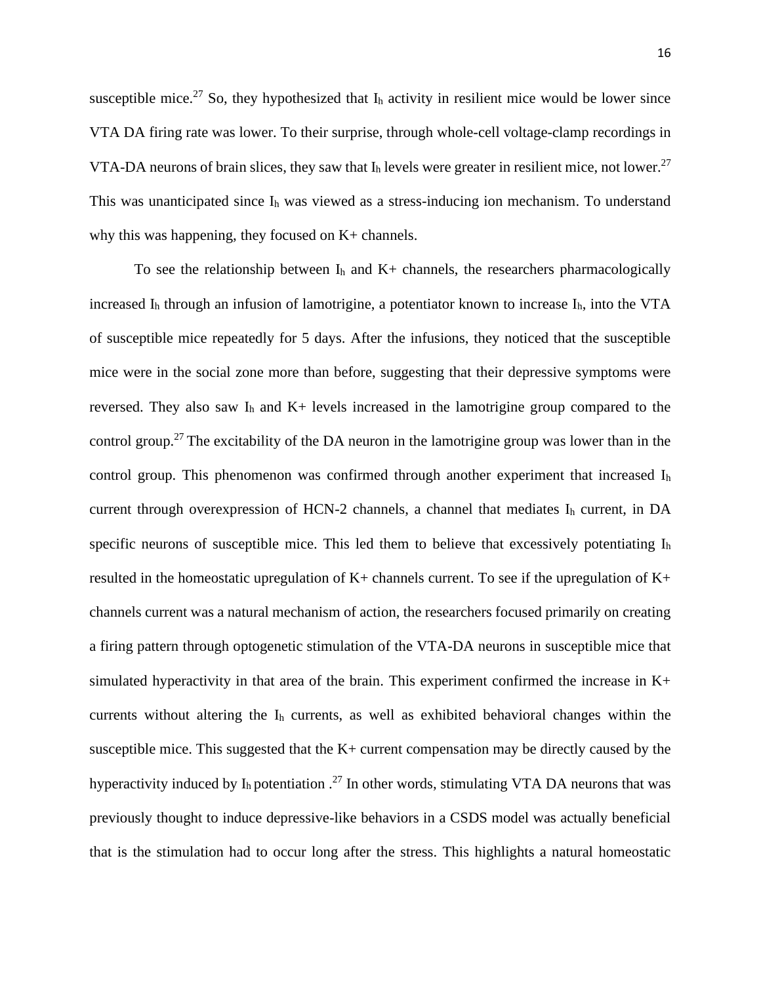susceptible mice.<sup>27</sup> So, they hypothesized that  $I_h$  activity in resilient mice would be lower since VTA DA firing rate was lower. To their surprise, through whole-cell voltage-clamp recordings in VTA-DA neurons of brain slices, they saw that  $I_h$  levels were greater in resilient mice, not lower.<sup>27</sup> This was unanticipated since I<sup>h</sup> was viewed as a stress-inducing ion mechanism. To understand why this was happening, they focused on K+ channels.

To see the relationship between  $I_h$  and  $K_+$  channels, the researchers pharmacologically increased  $I<sub>h</sub>$  through an infusion of lamotrigine, a potentiator known to increase  $I<sub>h</sub>$ , into the VTA of susceptible mice repeatedly for 5 days. After the infusions, they noticed that the susceptible mice were in the social zone more than before, suggesting that their depressive symptoms were reversed. They also saw  $I_h$  and  $K_+$  levels increased in the lamotrigine group compared to the control group.<sup>27</sup> The excitability of the DA neuron in the lamotrigine group was lower than in the control group. This phenomenon was confirmed through another experiment that increased  $I<sub>h</sub>$ current through overexpression of HCN-2 channels, a channel that mediates  $I<sub>h</sub>$  current, in DA specific neurons of susceptible mice. This led them to believe that excessively potentiating I<sup>h</sup> resulted in the homeostatic upregulation of  $K+$  channels current. To see if the upregulation of  $K+$ channels current was a natural mechanism of action, the researchers focused primarily on creating a firing pattern through optogenetic stimulation of the VTA-DA neurons in susceptible mice that simulated hyperactivity in that area of the brain. This experiment confirmed the increase in K+ currents without altering the I<sup>h</sup> currents, as well as exhibited behavioral changes within the susceptible mice. This suggested that the K+ current compensation may be directly caused by the hyperactivity induced by  $I_h$  potentiation  $.27$  In other words, stimulating VTA DA neurons that was previously thought to induce depressive-like behaviors in a CSDS model was actually beneficial that is the stimulation had to occur long after the stress. This highlights a natural homeostatic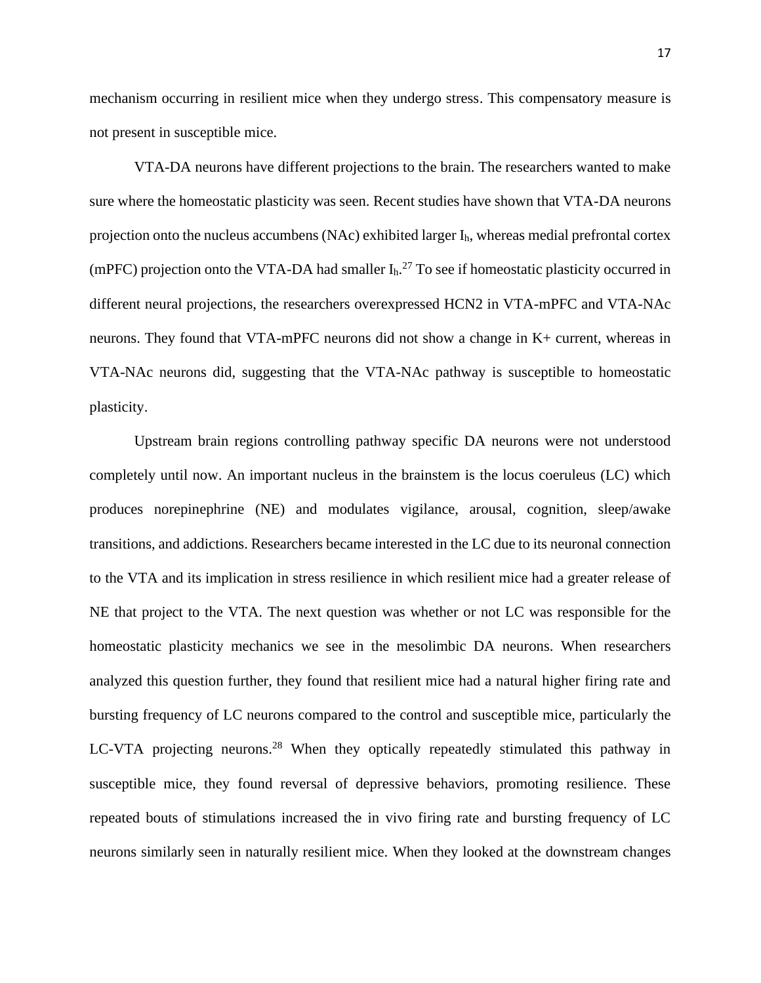mechanism occurring in resilient mice when they undergo stress. This compensatory measure is not present in susceptible mice.

VTA-DA neurons have different projections to the brain. The researchers wanted to make sure where the homeostatic plasticity was seen. Recent studies have shown that VTA-DA neurons projection onto the nucleus accumbens (NAc) exhibited larger  $I<sub>h</sub>$ , whereas medial prefrontal cortex (mPFC) projection onto the VTA-DA had smaller  $I_h$ <sup>27</sup> To see if homeostatic plasticity occurred in different neural projections, the researchers overexpressed HCN2 in VTA-mPFC and VTA-NAc neurons. They found that VTA-mPFC neurons did not show a change in K+ current, whereas in VTA-NAc neurons did, suggesting that the VTA-NAc pathway is susceptible to homeostatic plasticity.

Upstream brain regions controlling pathway specific DA neurons were not understood completely until now. An important nucleus in the brainstem is the locus coeruleus (LC) which produces norepinephrine (NE) and modulates vigilance, arousal, cognition, sleep/awake transitions, and addictions. Researchers became interested in the LC due to its neuronal connection to the VTA and its implication in stress resilience in which resilient mice had a greater release of NE that project to the VTA. The next question was whether or not LC was responsible for the homeostatic plasticity mechanics we see in the mesolimbic DA neurons. When researchers analyzed this question further, they found that resilient mice had a natural higher firing rate and bursting frequency of LC neurons compared to the control and susceptible mice, particularly the LC-VTA projecting neurons.<sup>28</sup> When they optically repeatedly stimulated this pathway in susceptible mice, they found reversal of depressive behaviors, promoting resilience. These repeated bouts of stimulations increased the in vivo firing rate and bursting frequency of LC neurons similarly seen in naturally resilient mice. When they looked at the downstream changes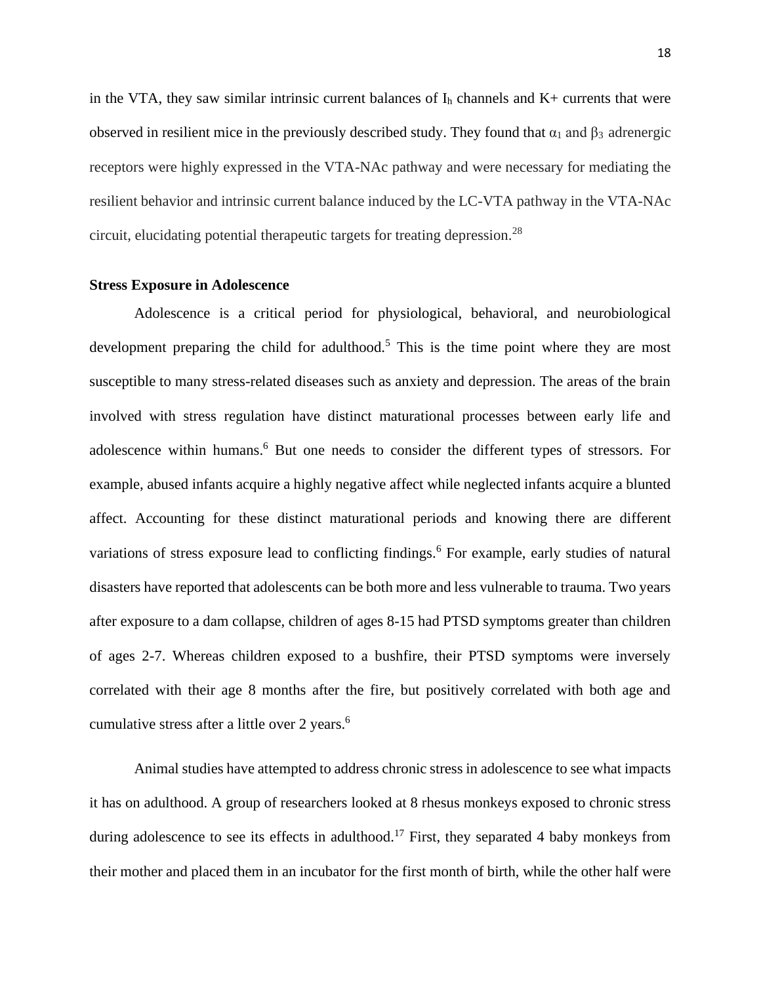in the VTA, they saw similar intrinsic current balances of  $I<sub>h</sub>$  channels and  $K<sub>+</sub>$  currents that were observed in resilient mice in the previously described study. They found that  $\alpha_1$  and  $\beta_3$  adrenergic receptors were highly expressed in the VTA-NAc pathway and were necessary for mediating the resilient behavior and intrinsic current balance induced by the LC-VTA pathway in the VTA-NAc circuit, elucidating potential therapeutic targets for treating depression.<sup>28</sup>

### **Stress Exposure in Adolescence**

Adolescence is a critical period for physiological, behavioral, and neurobiological development preparing the child for adulthood.<sup>5</sup> This is the time point where they are most susceptible to many stress-related diseases such as anxiety and depression. The areas of the brain involved with stress regulation have distinct maturational processes between early life and adolescence within humans.<sup>6</sup> But one needs to consider the different types of stressors. For example, abused infants acquire a highly negative affect while neglected infants acquire a blunted affect. Accounting for these distinct maturational periods and knowing there are different variations of stress exposure lead to conflicting findings.<sup>6</sup> For example, early studies of natural disasters have reported that adolescents can be both more and less vulnerable to trauma. Two years after exposure to a dam collapse, children of ages 8-15 had PTSD symptoms greater than children of ages 2-7. Whereas children exposed to a bushfire, their PTSD symptoms were inversely correlated with their age 8 months after the fire, but positively correlated with both age and cumulative stress after a little over 2 years.<sup>6</sup>

Animal studies have attempted to address chronic stress in adolescence to see what impacts it has on adulthood. A group of researchers looked at 8 rhesus monkeys exposed to chronic stress during adolescence to see its effects in adulthood.<sup>17</sup> First, they separated 4 baby monkeys from their mother and placed them in an incubator for the first month of birth, while the other half were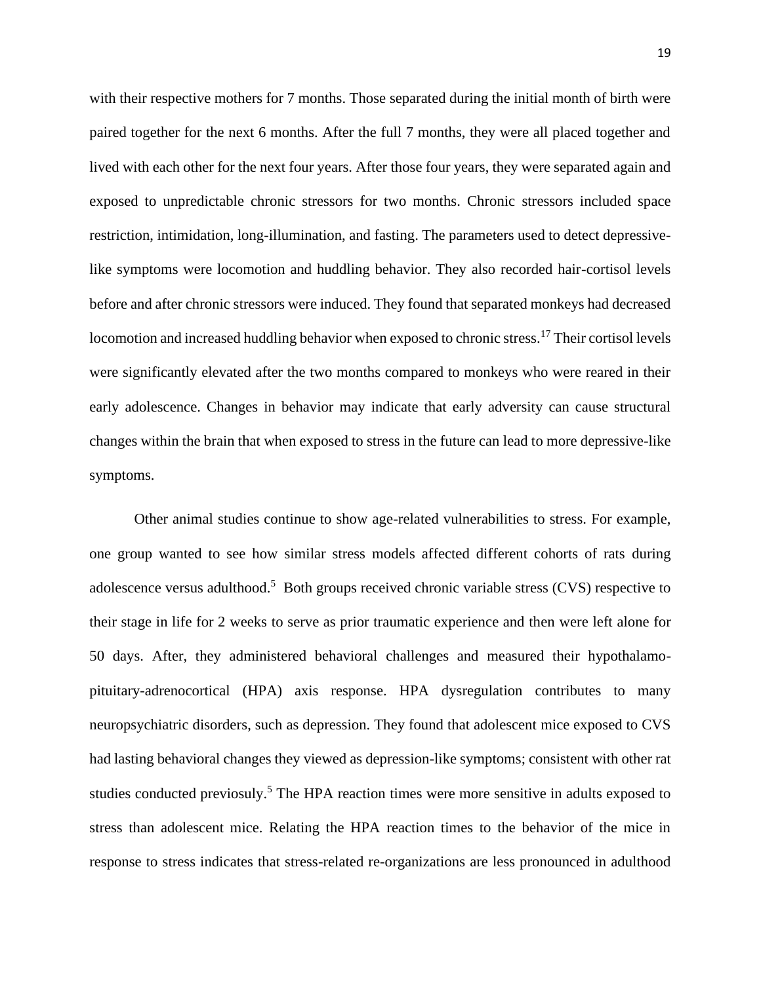with their respective mothers for 7 months. Those separated during the initial month of birth were paired together for the next 6 months. After the full 7 months, they were all placed together and lived with each other for the next four years. After those four years, they were separated again and exposed to unpredictable chronic stressors for two months. Chronic stressors included space restriction, intimidation, long-illumination, and fasting. The parameters used to detect depressivelike symptoms were locomotion and huddling behavior. They also recorded hair-cortisol levels before and after chronic stressors were induced. They found that separated monkeys had decreased locomotion and increased huddling behavior when exposed to chronic stress.<sup>17</sup> Their cortisol levels were significantly elevated after the two months compared to monkeys who were reared in their early adolescence. Changes in behavior may indicate that early adversity can cause structural changes within the brain that when exposed to stress in the future can lead to more depressive-like symptoms.

Other animal studies continue to show age-related vulnerabilities to stress. For example, one group wanted to see how similar stress models affected different cohorts of rats during adolescence versus adulthood.<sup>5</sup> Both groups received chronic variable stress (CVS) respective to their stage in life for 2 weeks to serve as prior traumatic experience and then were left alone for 50 days. After, they administered behavioral challenges and measured their hypothalamopituitary-adrenocortical (HPA) axis response. HPA dysregulation contributes to many neuropsychiatric disorders, such as depression. They found that adolescent mice exposed to CVS had lasting behavioral changes they viewed as depression-like symptoms; consistent with other rat studies conducted previosuly.<sup>5</sup> The HPA reaction times were more sensitive in adults exposed to stress than adolescent mice. Relating the HPA reaction times to the behavior of the mice in response to stress indicates that stress-related re-organizations are less pronounced in adulthood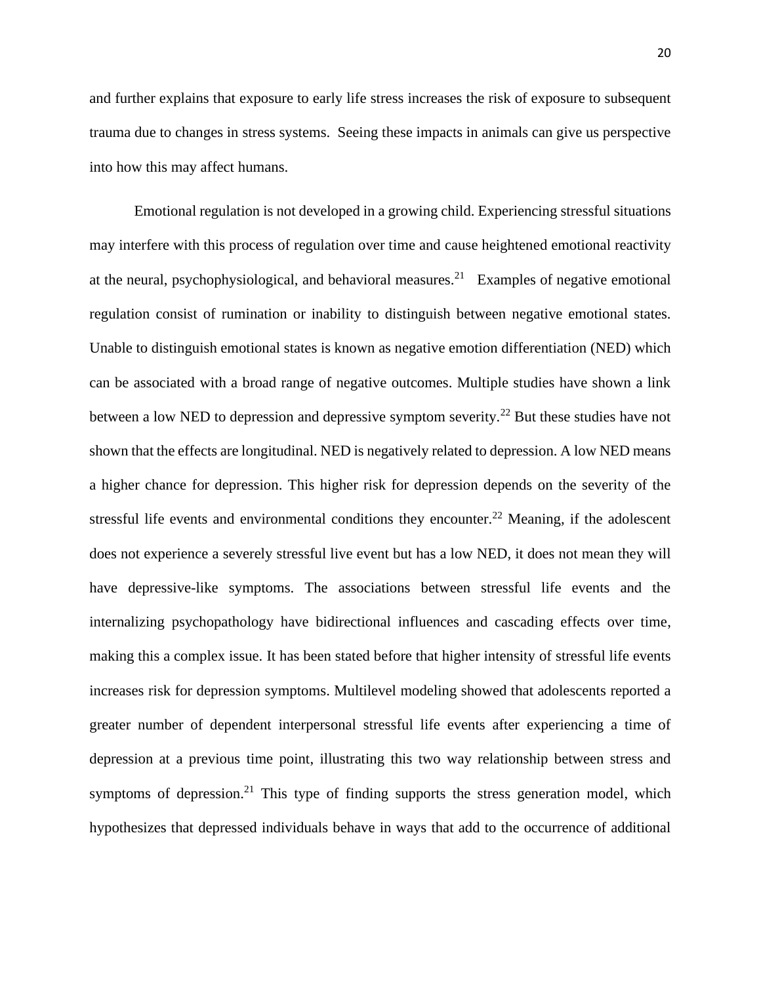and further explains that exposure to early life stress increases the risk of exposure to subsequent trauma due to changes in stress systems. Seeing these impacts in animals can give us perspective into how this may affect humans.

Emotional regulation is not developed in a growing child. Experiencing stressful situations may interfere with this process of regulation over time and cause heightened emotional reactivity at the neural, psychophysiological, and behavioral measures.<sup>21</sup> Examples of negative emotional regulation consist of rumination or inability to distinguish between negative emotional states. Unable to distinguish emotional states is known as negative emotion differentiation (NED) which can be associated with a broad range of negative outcomes. Multiple studies have shown a link between a low NED to depression and depressive symptom severity.<sup>22</sup> But these studies have not shown that the effects are longitudinal. NED is negatively related to depression. A low NED means a higher chance for depression. This higher risk for depression depends on the severity of the stressful life events and environmental conditions they encounter.<sup>22</sup> Meaning, if the adolescent does not experience a severely stressful live event but has a low NED, it does not mean they will have depressive-like symptoms. The associations between stressful life events and the internalizing psychopathology have bidirectional influences and cascading effects over time, making this a complex issue. It has been stated before that higher intensity of stressful life events increases risk for depression symptoms. Multilevel modeling showed that adolescents reported a greater number of dependent interpersonal stressful life events after experiencing a time of depression at a previous time point, illustrating this two way relationship between stress and symptoms of depression.<sup>21</sup> This type of finding supports the stress generation model, which hypothesizes that depressed individuals behave in ways that add to the occurrence of additional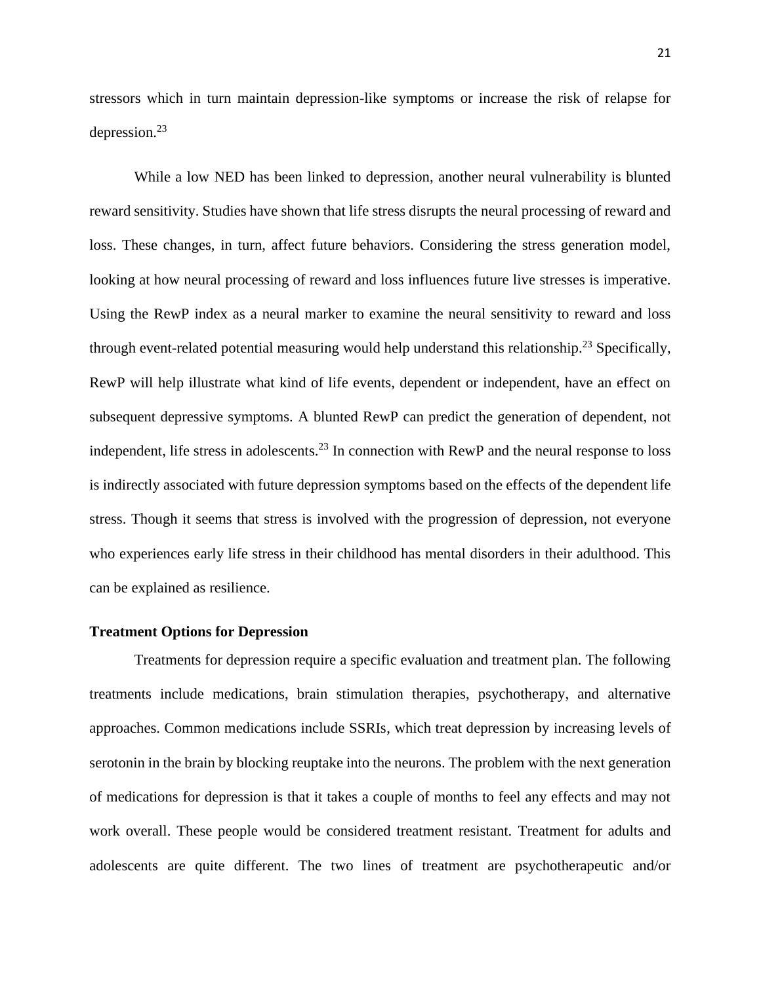stressors which in turn maintain depression-like symptoms or increase the risk of relapse for depression. 23

While a low NED has been linked to depression, another neural vulnerability is blunted reward sensitivity. Studies have shown that life stress disrupts the neural processing of reward and loss. These changes, in turn, affect future behaviors. Considering the stress generation model, looking at how neural processing of reward and loss influences future live stresses is imperative. Using the RewP index as a neural marker to examine the neural sensitivity to reward and loss through event-related potential measuring would help understand this relationship.<sup>23</sup> Specifically, RewP will help illustrate what kind of life events, dependent or independent, have an effect on subsequent depressive symptoms. A blunted RewP can predict the generation of dependent, not independent, life stress in adolescents.<sup>23</sup> In connection with RewP and the neural response to loss is indirectly associated with future depression symptoms based on the effects of the dependent life stress. Though it seems that stress is involved with the progression of depression, not everyone who experiences early life stress in their childhood has mental disorders in their adulthood. This can be explained as resilience.

#### **Treatment Options for Depression**

Treatments for depression require a specific evaluation and treatment plan. The following treatments include medications, brain stimulation therapies, psychotherapy, and alternative approaches. Common medications include SSRIs, which treat depression by increasing levels of serotonin in the brain by blocking reuptake into the neurons. The problem with the next generation of medications for depression is that it takes a couple of months to feel any effects and may not work overall. These people would be considered treatment resistant. Treatment for adults and adolescents are quite different. The two lines of treatment are psychotherapeutic and/or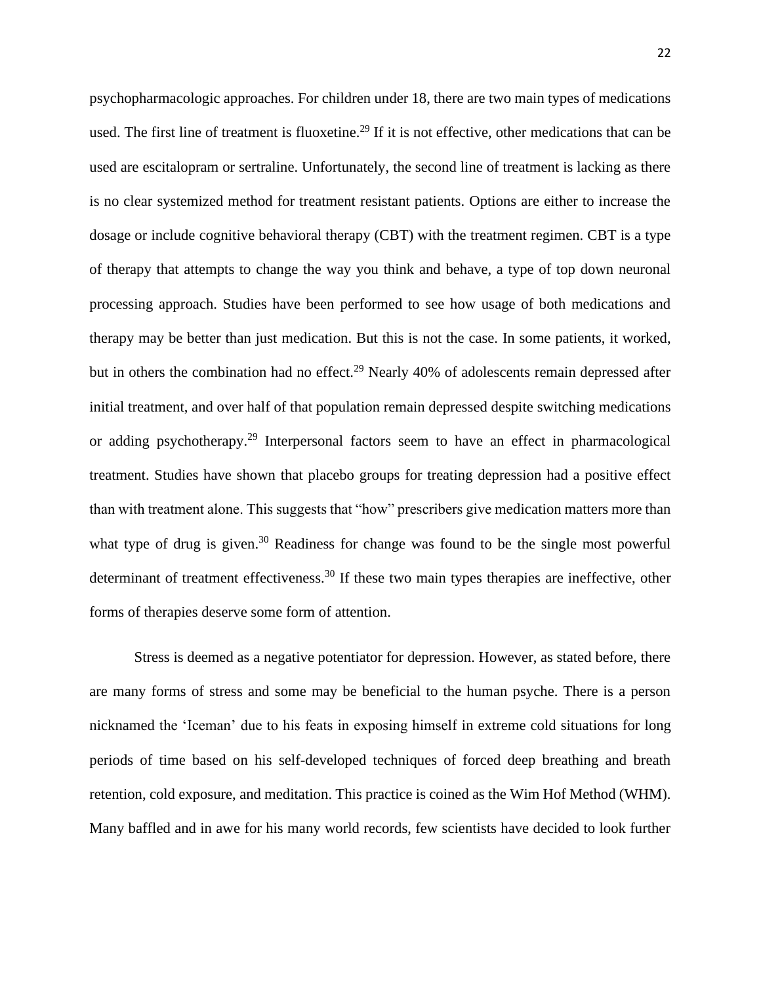psychopharmacologic approaches. For children under 18, there are two main types of medications used. The first line of treatment is fluoxetine.<sup>29</sup> If it is not effective, other medications that can be used are escitalopram or sertraline. Unfortunately, the second line of treatment is lacking as there is no clear systemized method for treatment resistant patients. Options are either to increase the dosage or include cognitive behavioral therapy (CBT) with the treatment regimen. CBT is a type of therapy that attempts to change the way you think and behave, a type of top down neuronal processing approach. Studies have been performed to see how usage of both medications and therapy may be better than just medication. But this is not the case. In some patients, it worked, but in others the combination had no effect.<sup>29</sup> Nearly 40% of adolescents remain depressed after initial treatment, and over half of that population remain depressed despite switching medications or adding psychotherapy.<sup>29</sup> Interpersonal factors seem to have an effect in pharmacological treatment. Studies have shown that placebo groups for treating depression had a positive effect than with treatment alone. This suggests that "how" prescribers give medication matters more than what type of drug is given.<sup>30</sup> Readiness for change was found to be the single most powerful determinant of treatment effectiveness.<sup>30</sup> If these two main types therapies are ineffective, other forms of therapies deserve some form of attention.

Stress is deemed as a negative potentiator for depression. However, as stated before, there are many forms of stress and some may be beneficial to the human psyche. There is a person nicknamed the 'Iceman' due to his feats in exposing himself in extreme cold situations for long periods of time based on his self-developed techniques of forced deep breathing and breath retention, cold exposure, and meditation. This practice is coined as the Wim Hof Method (WHM). Many baffled and in awe for his many world records, few scientists have decided to look further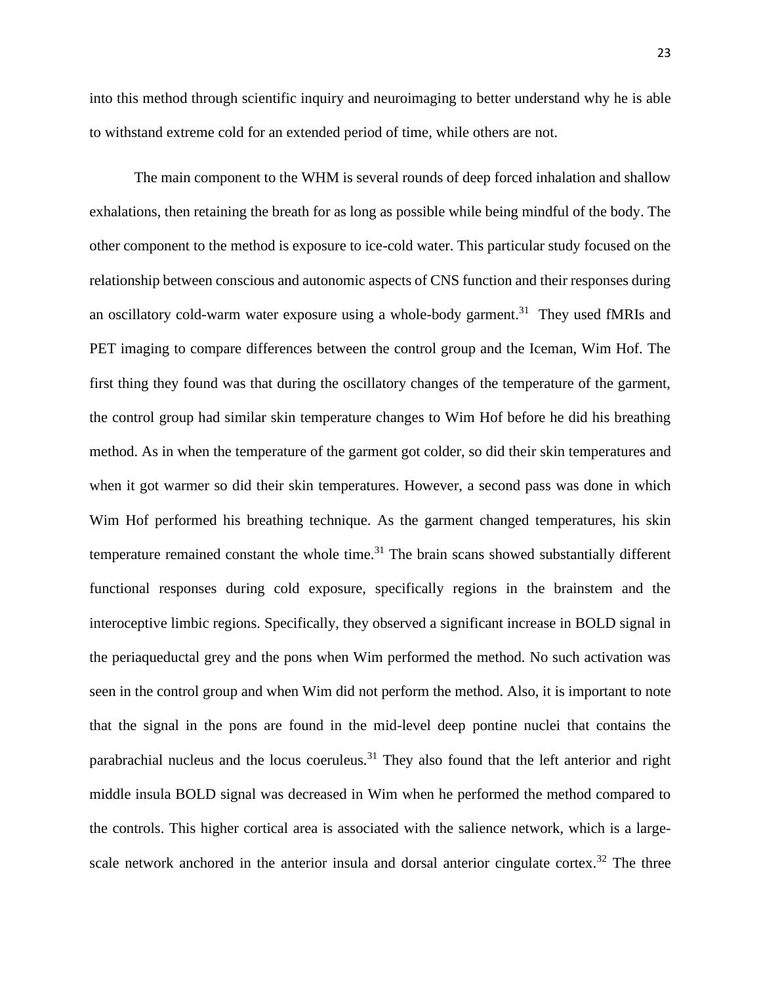into this method through scientific inquiry and neuroimaging to better understand why he is able to withstand extreme cold for an extended period of time, while others are not.

The main component to the WHM is several rounds of deep forced inhalation and shallow exhalations, then retaining the breath for as long as possible while being mindful of the body. The other component to the method is exposure to ice-cold water. This particular study focused on the relationship between conscious and autonomic aspects of CNS function and their responses during an oscillatory cold-warm water exposure using a whole-body garment.<sup>31</sup> They used fMRIs and PET imaging to compare differences between the control group and the Iceman, Wim Hof. The first thing they found was that during the oscillatory changes of the temperature of the garment, the control group had similar skin temperature changes to Wim Hof before he did his breathing method. As in when the temperature of the garment got colder, so did their skin temperatures and when it got warmer so did their skin temperatures. However, a second pass was done in which Wim Hof performed his breathing technique. As the garment changed temperatures, his skin temperature remained constant the whole time. $31$  The brain scans showed substantially different functional responses during cold exposure, specifically regions in the brainstem and the interoceptive limbic regions. Specifically, they observed a significant increase in BOLD signal in the periaqueductal grey and the pons when Wim performed the method. No such activation was seen in the control group and when Wim did not perform the method. Also, it is important to note that the signal in the pons are found in the mid-level deep pontine nuclei that contains the parabrachial nucleus and the locus coeruleus.<sup>31</sup> They also found that the left anterior and right middle insula BOLD signal was decreased in Wim when he performed the method compared to the controls. This higher cortical area is associated with the salience network, which is a largescale network anchored in the anterior insula and dorsal anterior cingulate cortex.<sup>32</sup> The three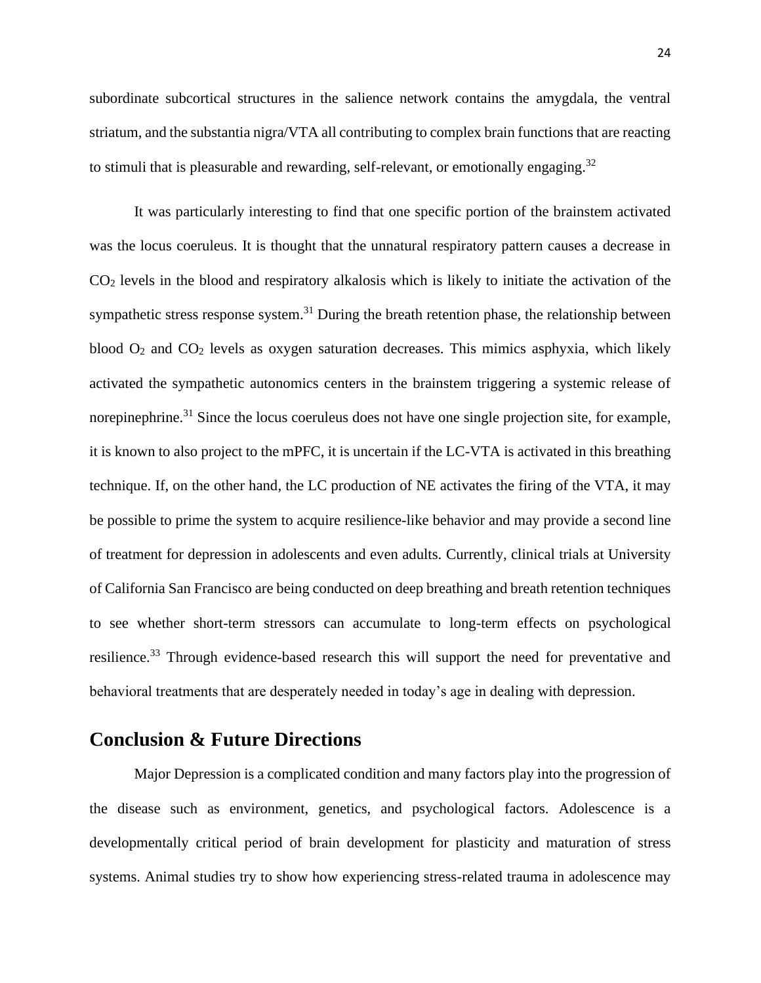subordinate subcortical structures in the salience network contains the amygdala, the ventral striatum, and the substantia nigra/VTA all contributing to complex brain functions that are reacting to stimuli that is pleasurable and rewarding, self-relevant, or emotionally engaging.<sup>32</sup>

It was particularly interesting to find that one specific portion of the brainstem activated was the locus coeruleus. It is thought that the unnatural respiratory pattern causes a decrease in CO<sup>2</sup> levels in the blood and respiratory alkalosis which is likely to initiate the activation of the sympathetic stress response system.<sup>31</sup> During the breath retention phase, the relationship between blood  $O_2$  and  $CO_2$  levels as oxygen saturation decreases. This mimics asphyxia, which likely activated the sympathetic autonomics centers in the brainstem triggering a systemic release of norepinephrine.<sup>31</sup> Since the locus coeruleus does not have one single projection site, for example, it is known to also project to the mPFC, it is uncertain if the LC-VTA is activated in this breathing technique. If, on the other hand, the LC production of NE activates the firing of the VTA, it may be possible to prime the system to acquire resilience-like behavior and may provide a second line of treatment for depression in adolescents and even adults. Currently, clinical trials at University of California San Francisco are being conducted on deep breathing and breath retention techniques to see whether short-term stressors can accumulate to long-term effects on psychological resilience.<sup>33</sup> Through evidence-based research this will support the need for preventative and behavioral treatments that are desperately needed in today's age in dealing with depression.

### **Conclusion & Future Directions**

Major Depression is a complicated condition and many factors play into the progression of the disease such as environment, genetics, and psychological factors. Adolescence is a developmentally critical period of brain development for plasticity and maturation of stress systems. Animal studies try to show how experiencing stress-related trauma in adolescence may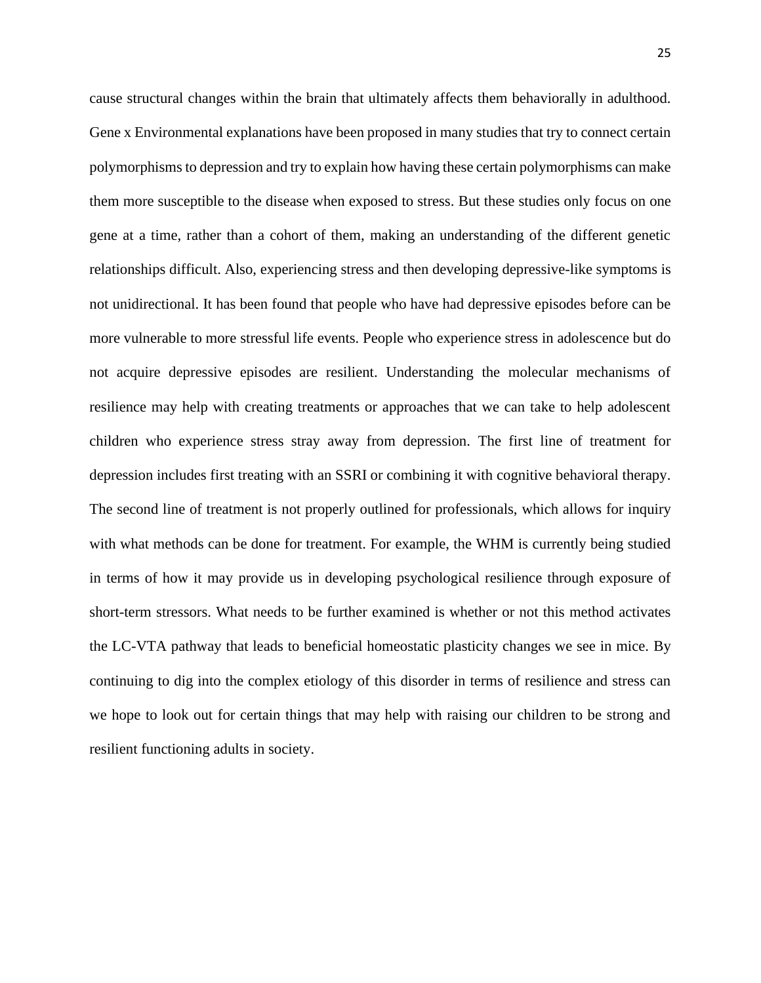cause structural changes within the brain that ultimately affects them behaviorally in adulthood. Gene x Environmental explanations have been proposed in many studies that try to connect certain polymorphisms to depression and try to explain how having these certain polymorphisms can make them more susceptible to the disease when exposed to stress. But these studies only focus on one gene at a time, rather than a cohort of them, making an understanding of the different genetic relationships difficult. Also, experiencing stress and then developing depressive-like symptoms is not unidirectional. It has been found that people who have had depressive episodes before can be more vulnerable to more stressful life events. People who experience stress in adolescence but do not acquire depressive episodes are resilient. Understanding the molecular mechanisms of resilience may help with creating treatments or approaches that we can take to help adolescent children who experience stress stray away from depression. The first line of treatment for depression includes first treating with an SSRI or combining it with cognitive behavioral therapy. The second line of treatment is not properly outlined for professionals, which allows for inquiry with what methods can be done for treatment. For example, the WHM is currently being studied in terms of how it may provide us in developing psychological resilience through exposure of short-term stressors. What needs to be further examined is whether or not this method activates the LC-VTA pathway that leads to beneficial homeostatic plasticity changes we see in mice. By continuing to dig into the complex etiology of this disorder in terms of resilience and stress can we hope to look out for certain things that may help with raising our children to be strong and resilient functioning adults in society.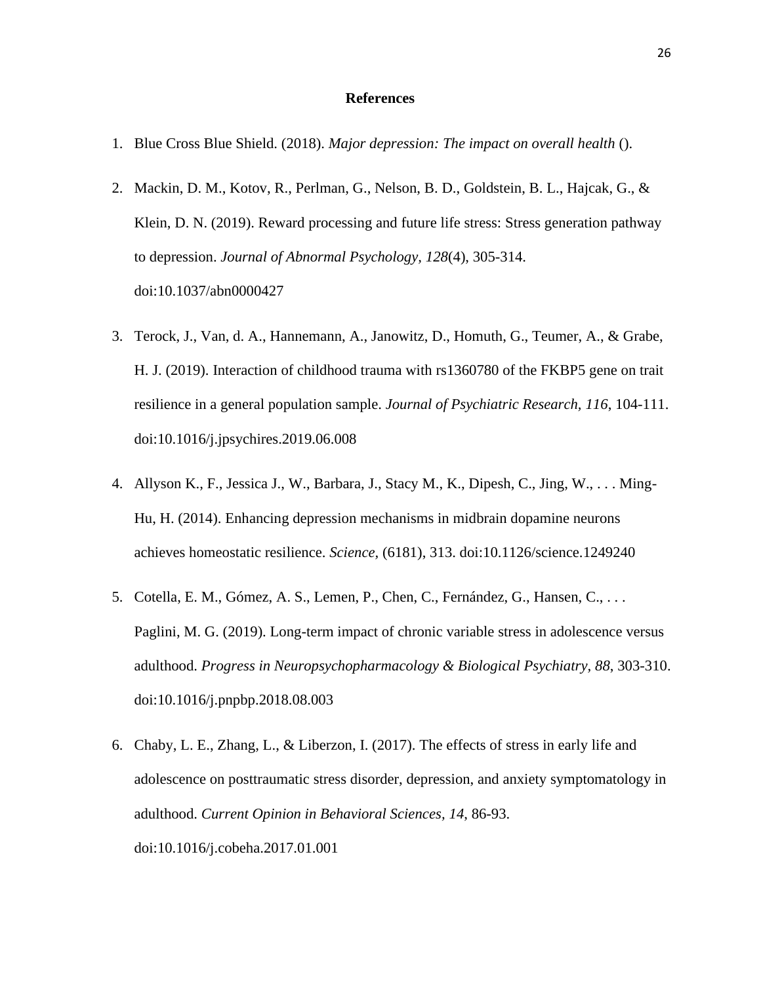#### **References**

- 1. Blue Cross Blue Shield. (2018). *Major depression: The impact on overall health* ().
- 2. Mackin, D. M., Kotov, R., Perlman, G., Nelson, B. D., Goldstein, B. L., Hajcak, G., & Klein, D. N. (2019). Reward processing and future life stress: Stress generation pathway to depression. *Journal of Abnormal Psychology, 128*(4), 305-314. doi:10.1037/abn0000427
- 3. Terock, J., Van, d. A., Hannemann, A., Janowitz, D., Homuth, G., Teumer, A., & Grabe, H. J. (2019). Interaction of childhood trauma with rs1360780 of the FKBP5 gene on trait resilience in a general population sample. *Journal of Psychiatric Research, 116*, 104-111. doi:10.1016/j.jpsychires.2019.06.008
- 4. Allyson K., F., Jessica J., W., Barbara, J., Stacy M., K., Dipesh, C., Jing, W., . . . Ming-Hu, H. (2014). Enhancing depression mechanisms in midbrain dopamine neurons achieves homeostatic resilience. *Science,* (6181), 313. doi:10.1126/science.1249240
- 5. Cotella, E. M., Gómez, A. S., Lemen, P., Chen, C., Fernández, G., Hansen, C., . . . Paglini, M. G. (2019). Long-term impact of chronic variable stress in adolescence versus adulthood. *Progress in Neuropsychopharmacology & Biological Psychiatry, 88*, 303-310. doi:10.1016/j.pnpbp.2018.08.003
- 6. Chaby, L. E., Zhang, L., & Liberzon, I. (2017). The effects of stress in early life and adolescence on posttraumatic stress disorder, depression, and anxiety symptomatology in adulthood. *Current Opinion in Behavioral Sciences, 14*, 86-93. doi:10.1016/j.cobeha.2017.01.001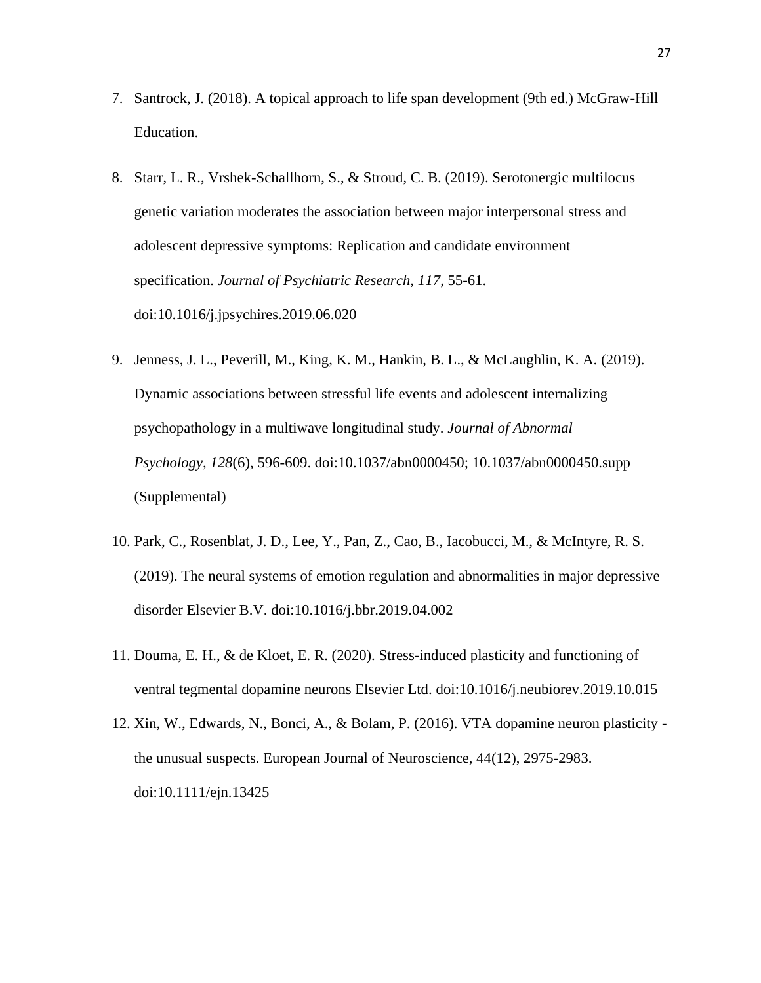- 7. Santrock, J. (2018). A topical approach to life span development (9th ed.) McGraw-Hill Education.
- 8. Starr, L. R., Vrshek-Schallhorn, S., & Stroud, C. B. (2019). Serotonergic multilocus genetic variation moderates the association between major interpersonal stress and adolescent depressive symptoms: Replication and candidate environment specification. *Journal of Psychiatric Research, 117*, 55-61. doi:10.1016/j.jpsychires.2019.06.020
- 9. Jenness, J. L., Peverill, M., King, K. M., Hankin, B. L., & McLaughlin, K. A. (2019). Dynamic associations between stressful life events and adolescent internalizing psychopathology in a multiwave longitudinal study. *Journal of Abnormal Psychology, 128*(6), 596-609. doi:10.1037/abn0000450; 10.1037/abn0000450.supp (Supplemental)
- 10. Park, C., Rosenblat, J. D., Lee, Y., Pan, Z., Cao, B., Iacobucci, M., & McIntyre, R. S. (2019). The neural systems of emotion regulation and abnormalities in major depressive disorder Elsevier B.V. doi:10.1016/j.bbr.2019.04.002
- 11. Douma, E. H., & de Kloet, E. R. (2020). Stress-induced plasticity and functioning of ventral tegmental dopamine neurons Elsevier Ltd. doi:10.1016/j.neubiorev.2019.10.015
- 12. Xin, W., Edwards, N., Bonci, A., & Bolam, P. (2016). VTA dopamine neuron plasticity the unusual suspects. European Journal of Neuroscience, 44(12), 2975-2983. doi:10.1111/ejn.13425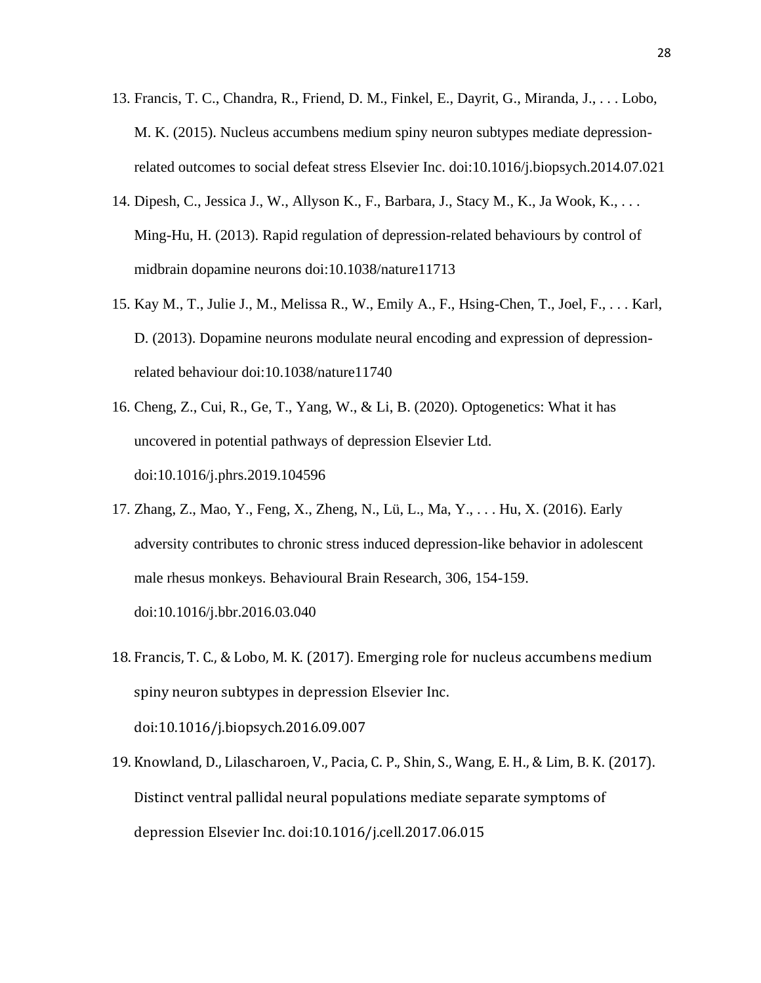- 13. Francis, T. C., Chandra, R., Friend, D. M., Finkel, E., Dayrit, G., Miranda, J., . . . Lobo, M. K. (2015). Nucleus accumbens medium spiny neuron subtypes mediate depressionrelated outcomes to social defeat stress Elsevier Inc. doi:10.1016/j.biopsych.2014.07.021
- 14. Dipesh, C., Jessica J., W., Allyson K., F., Barbara, J., Stacy M., K., Ja Wook, K., . . . Ming-Hu, H. (2013). Rapid regulation of depression-related behaviours by control of midbrain dopamine neurons doi:10.1038/nature11713
- 15. Kay M., T., Julie J., M., Melissa R., W., Emily A., F., Hsing-Chen, T., Joel, F., . . . Karl, D. (2013). Dopamine neurons modulate neural encoding and expression of depressionrelated behaviour doi:10.1038/nature11740
- 16. Cheng, Z., Cui, R., Ge, T., Yang, W., & Li, B. (2020). Optogenetics: What it has uncovered in potential pathways of depression Elsevier Ltd. doi:10.1016/j.phrs.2019.104596
- 17. Zhang, Z., Mao, Y., Feng, X., Zheng, N., Lü, L., Ma, Y., . . . Hu, X. (2016). Early adversity contributes to chronic stress induced depression-like behavior in adolescent male rhesus monkeys. Behavioural Brain Research, 306, 154-159. doi:10.1016/j.bbr.2016.03.040
- 18. Francis, T. C., & Lobo, M. K. (2017). Emerging role for nucleus accumbens medium spiny neuron subtypes in depression Elsevier Inc. doi:10.1016/j.biopsych.2016.09.007
- 19. Knowland, D., Lilascharoen, V., Pacia, C. P., Shin, S., Wang, E. H., & Lim, B. K. (2017). Distinct ventral pallidal neural populations mediate separate symptoms of depression Elsevier Inc. doi:10.1016/j.cell.2017.06.015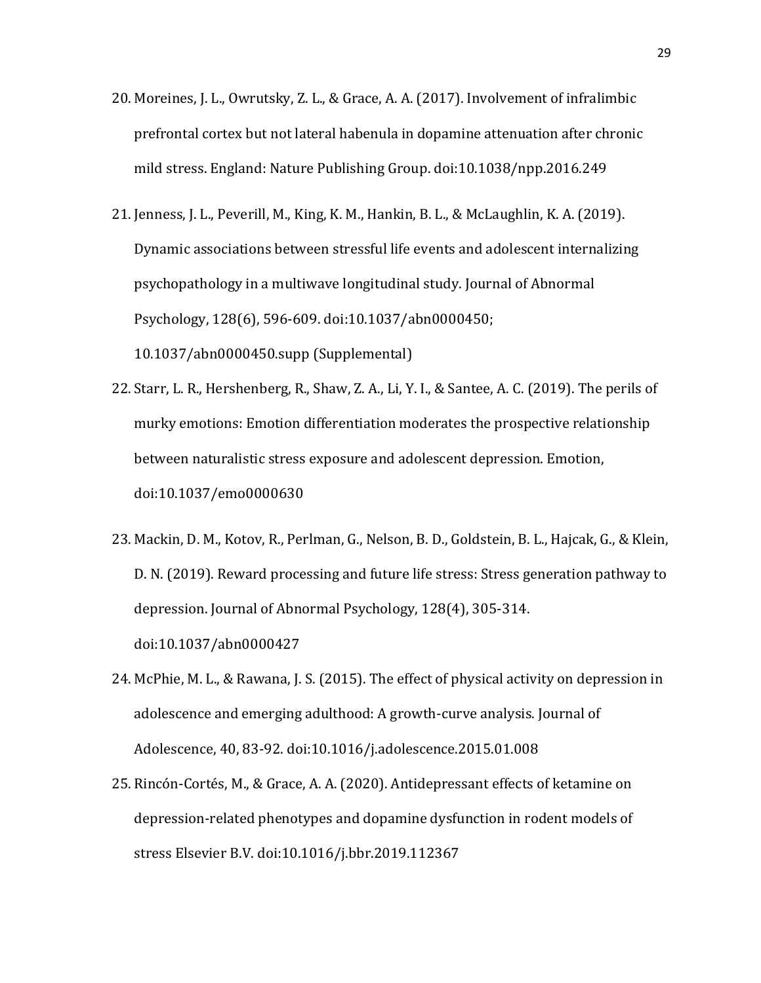- 20. Moreines, J. L., Owrutsky, Z. L., & Grace, A. A. (2017). Involvement of infralimbic prefrontal cortex but not lateral habenula in dopamine attenuation after chronic mild stress. England: Nature Publishing Group. doi:10.1038/npp.2016.249
- 21. Jenness, J. L., Peverill, M., King, K. M., Hankin, B. L., & McLaughlin, K. A. (2019). Dynamic associations between stressful life events and adolescent internalizing psychopathology in a multiwave longitudinal study. Journal of Abnormal Psychology, 128(6), 596-609. doi:10.1037/abn0000450; 10.1037/abn0000450.supp (Supplemental)
- 22. Starr, L. R., Hershenberg, R., Shaw, Z. A., Li, Y. I., & Santee, A. C. (2019). The perils of murky emotions: Emotion differentiation moderates the prospective relationship between naturalistic stress exposure and adolescent depression. Emotion, doi:10.1037/emo0000630
- 23. Mackin, D. M., Kotov, R., Perlman, G., Nelson, B. D., Goldstein, B. L., Hajcak, G., & Klein, D. N. (2019). Reward processing and future life stress: Stress generation pathway to depression. Journal of Abnormal Psychology, 128(4), 305-314. doi:10.1037/abn0000427
- 24. McPhie, M. L., & Rawana, J. S. (2015). The effect of physical activity on depression in adolescence and emerging adulthood: A growth-curve analysis. Journal of Adolescence, 40, 83-92. doi:10.1016/j.adolescence.2015.01.008
- 25. Rincón-Cortés, M., & Grace, A. A. (2020). Antidepressant effects of ketamine on depression-related phenotypes and dopamine dysfunction in rodent models of stress Elsevier B.V. doi:10.1016/j.bbr.2019.112367